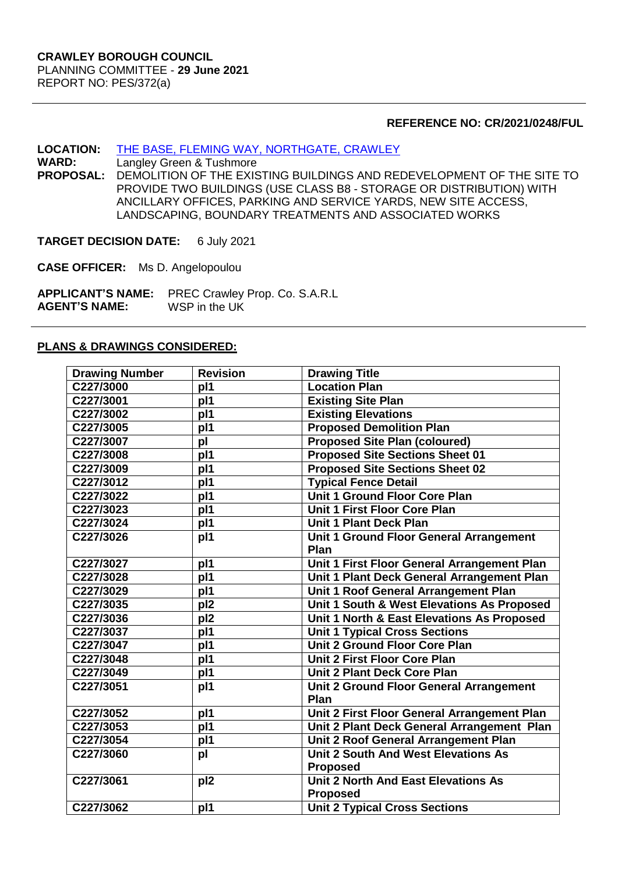#### **REFERENCE NO: CR/2021/0248/FUL**

# **LOCATION:** [THE BASE, FLEMING WAY, NORTHGATE, CRAWLEY](https://planningregister.crawley.gov.uk/Planning/Display/CR/2021/0248/FUL)<br>
WARD: Langley Green & Tushmore

**Langley Green & Tushmore PROPOSAL:** DEMOLITION OF THE EXISTING BUILDINGS AND REDEVELOPMENT OF THE SITE TO PROVIDE TWO BUILDINGS (USE CLASS B8 - STORAGE OR DISTRIBUTION) WITH ANCILLARY OFFICES, PARKING AND SERVICE YARDS, NEW SITE ACCESS, LANDSCAPING, BOUNDARY TREATMENTS AND ASSOCIATED WORKS

**TARGET DECISION DATE:** 6 July 2021

**CASE OFFICER:** Ms D. Angelopoulou

**APPLICANT'S NAME:** PREC Crawley Prop. Co. S.A.R.L **AGENT'S NAME:** 

#### **PLANS & DRAWINGS CONSIDERED:**

| <b>Drawing Number</b> | <b>Revision</b> | <b>Drawing Title</b>                        |  |  |
|-----------------------|-----------------|---------------------------------------------|--|--|
| C227/3000             | pl1             | <b>Location Plan</b>                        |  |  |
| C227/3001             | p <sub>11</sub> | <b>Existing Site Plan</b>                   |  |  |
| C227/3002             | p <sub>11</sub> | <b>Existing Elevations</b>                  |  |  |
| C227/3005             | pi1             | <b>Proposed Demolition Plan</b>             |  |  |
| C227/3007             | pl              | <b>Proposed Site Plan (coloured)</b>        |  |  |
| C227/3008             | p <sub>11</sub> | <b>Proposed Site Sections Sheet 01</b>      |  |  |
| C227/3009             | pi11            | <b>Proposed Site Sections Sheet 02</b>      |  |  |
| C227/3012             | pl1             | <b>Typical Fence Detail</b>                 |  |  |
| C227/3022             | p <sub>11</sub> | <b>Unit 1 Ground Floor Core Plan</b>        |  |  |
| C227/3023             | p11             | <b>Unit 1 First Floor Core Plan</b>         |  |  |
| C227/3024             | pl1             | <b>Unit 1 Plant Deck Plan</b>               |  |  |
| C227/3026             | pl1             | Unit 1 Ground Floor General Arrangement     |  |  |
|                       |                 | Plan                                        |  |  |
| C227/3027             | p <sub>11</sub> | Unit 1 First Floor General Arrangement Plan |  |  |
| C227/3028             | pl1             | Unit 1 Plant Deck General Arrangement Plan  |  |  |
| C227/3029             | pl1             | Unit 1 Roof General Arrangement Plan        |  |  |
| C227/3035             | pl <sub>2</sub> | Unit 1 South & West Elevations As Proposed  |  |  |
| C227/3036             | pl <sub>2</sub> | Unit 1 North & East Elevations As Proposed  |  |  |
| C227/3037             | pi11            | <b>Unit 1 Typical Cross Sections</b>        |  |  |
| C227/3047             | p <sub>11</sub> | <b>Unit 2 Ground Floor Core Plan</b>        |  |  |
| C227/3048             | pl1             | <b>Unit 2 First Floor Core Plan</b>         |  |  |
| C227/3049             | pl1             | <b>Unit 2 Plant Deck Core Plan</b>          |  |  |
| C227/3051             | pl1             | Unit 2 Ground Floor General Arrangement     |  |  |
|                       |                 | Plan                                        |  |  |
| C227/3052             | p <sub>11</sub> | Unit 2 First Floor General Arrangement Plan |  |  |
| C227/3053             | pi              | Unit 2 Plant Deck General Arrangement Plan  |  |  |
| C227/3054             | pl1             | Unit 2 Roof General Arrangement Plan        |  |  |
| C227/3060             | pl              | <b>Unit 2 South And West Elevations As</b>  |  |  |
|                       |                 | <b>Proposed</b>                             |  |  |
| C227/3061             | pl <sub>2</sub> | Unit 2 North And East Elevations As         |  |  |
|                       |                 | <b>Proposed</b>                             |  |  |
| C227/3062             | pl1             | <b>Unit 2 Typical Cross Sections</b>        |  |  |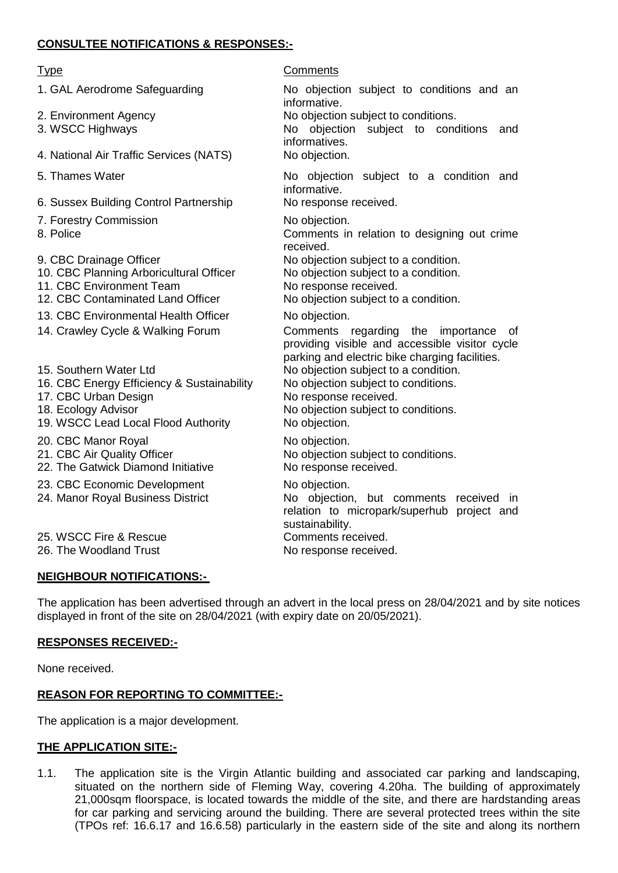# **CONSULTEE NOTIFICATIONS & RESPONSES:-**

- 1. GAL Aerodrome Safeguarding No objection subject to conditions and an
- 
- 
- 4. National Air Traffic Services (NATS) No objection.
- 
- 6. Sussex Building Control Partnership
- 
- 

informative.<br>No response received. 7. Forestry Commission No objection. 8. Police **Comments** in relation to designing out crime received. 9. CBC Drainage Officer **No objection subject to a condition.** 10. CBC Planning Arboricultural Officer No objection subject to a condition. 11. CBC Environment Team No response received. 12. CBC Contaminated Land Officer No objection subject to a condition. 13. CBC Environmental Health Officer No objection. 14. Crawley Cycle & Walking Forum Comments regarding the importance of parking and electric bike charging facilities. 15. Southern Water Ltd No objection subject to a condition. 16. CBC Energy Efficiency & Sustainability No objection subject to conditions. 17. CBC Urban Design No response received. 18. Ecology Advisor **No objection subject to conditions.** 19. WSCC Lead Local Flood Authority No objection. 20. CBC Manor Royal No objection. 21. CBC Air Quality Officer No objection subject to conditions. 22. The Gatwick Diamond Initiative No response received. 23. CBC Economic Development No objection. 24. Manor Royal Business District No objection, but comments received in sustainability. 25. WSCC Fire & Rescue Comments received. 26. The Woodland Trust No response received.

# **NEIGHBOUR NOTIFICATIONS:-**

The application has been advertised through an advert in the local press on 28/04/2021 and by site notices displayed in front of the site on 28/04/2021 (with expiry date on 20/05/2021).

# **RESPONSES RECEIVED:-**

None received.

# **REASON FOR REPORTING TO COMMITTEE:-**

The application is a major development.

# **THE APPLICATION SITE:-**

1.1. The application site is the Virgin Atlantic building and associated car parking and landscaping, situated on the northern side of Fleming Way, covering 4.20ha. The building of approximately 21,000sqm floorspace, is located towards the middle of the site, and there are hardstanding areas for car parking and servicing around the building. There are several protected trees within the site (TPOs ref: 16.6.17 and 16.6.58) particularly in the eastern side of the site and along its northern

#### Type Comments

informative. 2. Environment Agency No objection subject to conditions. 3. WSCC Highways No objection subject to conditions and informatives. 5. Thames Water **No objection** subject to a condition and providing visible and accessible visitor cycle relation to micropark/superhub project and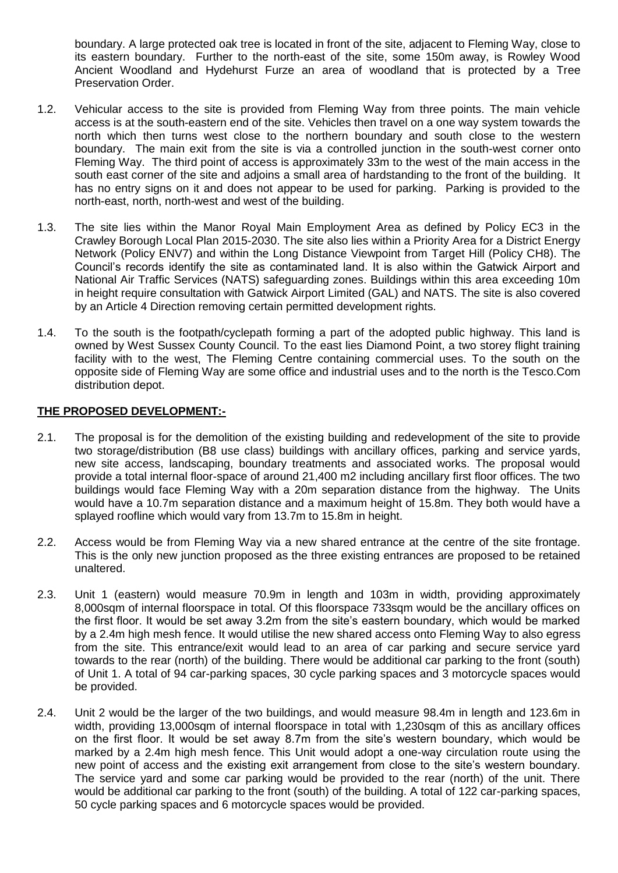boundary. A large protected oak tree is located in front of the site, adjacent to Fleming Way, close to its eastern boundary. Further to the north-east of the site, some 150m away, is Rowley Wood Ancient Woodland and Hydehurst Furze an area of woodland that is protected by a Tree Preservation Order.

- 1.2. Vehicular access to the site is provided from Fleming Way from three points. The main vehicle access is at the south-eastern end of the site. Vehicles then travel on a one way system towards the north which then turns west close to the northern boundary and south close to the western boundary. The main exit from the site is via a controlled junction in the south-west corner onto Fleming Way. The third point of access is approximately 33m to the west of the main access in the south east corner of the site and adjoins a small area of hardstanding to the front of the building. It has no entry signs on it and does not appear to be used for parking. Parking is provided to the north-east, north, north-west and west of the building.
- 1.3. The site lies within the Manor Royal Main Employment Area as defined by Policy EC3 in the Crawley Borough Local Plan 2015-2030. The site also lies within a Priority Area for a District Energy Network (Policy ENV7) and within the Long Distance Viewpoint from Target Hill (Policy CH8). The Council's records identify the site as contaminated land. It is also within the Gatwick Airport and National Air Traffic Services (NATS) safeguarding zones. Buildings within this area exceeding 10m in height require consultation with Gatwick Airport Limited (GAL) and NATS. The site is also covered by an Article 4 Direction removing certain permitted development rights.
- 1.4. To the south is the footpath/cyclepath forming a part of the adopted public highway. This land is owned by West Sussex County Council. To the east lies Diamond Point, a two storey flight training facility with to the west, The Fleming Centre containing commercial uses. To the south on the opposite side of Fleming Way are some office and industrial uses and to the north is the Tesco.Com distribution depot.

#### **THE PROPOSED DEVELOPMENT:-**

- 2.1. The proposal is for the demolition of the existing building and redevelopment of the site to provide two storage/distribution (B8 use class) buildings with ancillary offices, parking and service yards, new site access, landscaping, boundary treatments and associated works. The proposal would provide a total internal floor-space of around 21,400 m2 including ancillary first floor offices. The two buildings would face Fleming Way with a 20m separation distance from the highway. The Units would have a 10.7m separation distance and a maximum height of 15.8m. They both would have a splayed roofline which would vary from 13.7m to 15.8m in height.
- 2.2. Access would be from Fleming Way via a new shared entrance at the centre of the site frontage. This is the only new junction proposed as the three existing entrances are proposed to be retained unaltered.
- 2.3. Unit 1 (eastern) would measure 70.9m in length and 103m in width, providing approximately 8,000sqm of internal floorspace in total. Of this floorspace 733sqm would be the ancillary offices on the first floor. It would be set away 3.2m from the site's eastern boundary, which would be marked by a 2.4m high mesh fence. It would utilise the new shared access onto Fleming Way to also egress from the site. This entrance/exit would lead to an area of car parking and secure service yard towards to the rear (north) of the building. There would be additional car parking to the front (south) of Unit 1. A total of 94 car-parking spaces, 30 cycle parking spaces and 3 motorcycle spaces would be provided.
- 2.4. Unit 2 would be the larger of the two buildings, and would measure 98.4m in length and 123.6m in width, providing 13,000sqm of internal floorspace in total with 1,230sqm of this as ancillary offices on the first floor. It would be set away 8.7m from the site's western boundary, which would be marked by a 2.4m high mesh fence. This Unit would adopt a one-way circulation route using the new point of access and the existing exit arrangement from close to the site's western boundary. The service yard and some car parking would be provided to the rear (north) of the unit. There would be additional car parking to the front (south) of the building. A total of 122 car-parking spaces, 50 cycle parking spaces and 6 motorcycle spaces would be provided.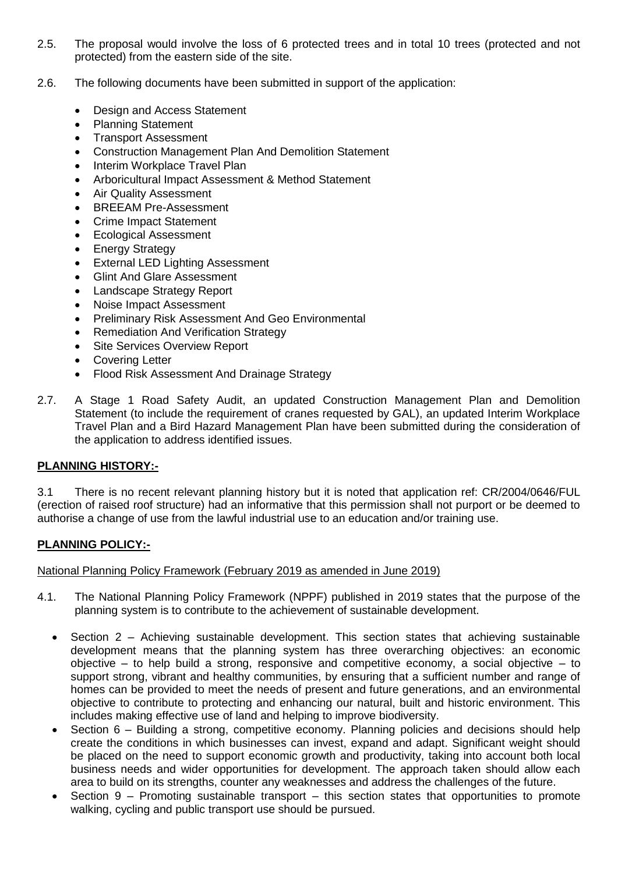- 2.5. The proposal would involve the loss of 6 protected trees and in total 10 trees (protected and not protected) from the eastern side of the site.
- 2.6. The following documents have been submitted in support of the application:
	- Design and Access Statement
	- Planning Statement
	- Transport Assessment
	- Construction Management Plan And Demolition Statement
	- Interim Workplace Travel Plan
	- Arboricultural Impact Assessment & Method Statement
	- Air Quality Assessment
	- BREEAM Pre-Assessment
	- Crime Impact Statement
	- Ecological Assessment
	- Energy Strategy
	- External LED Lighting Assessment
	- Glint And Glare Assessment
	- Landscape Strategy Report
	- Noise Impact Assessment
	- Preliminary Risk Assessment And Geo Environmental
	- Remediation And Verification Strategy
	- Site Services Overview Report
	- Covering Letter
	- Flood Risk Assessment And Drainage Strategy
- 2.7. A Stage 1 Road Safety Audit, an updated Construction Management Plan and Demolition Statement (to include the requirement of cranes requested by GAL), an updated Interim Workplace Travel Plan and a Bird Hazard Management Plan have been submitted during the consideration of the application to address identified issues.

# **PLANNING HISTORY:-**

3.1 There is no recent relevant planning history but it is noted that application ref: CR/2004/0646/FUL (erection of raised roof structure) had an informative that this permission shall not purport or be deemed to authorise a change of use from the lawful industrial use to an education and/or training use.

# **PLANNING POLICY:-**

National Planning Policy Framework (February 2019 as amended in June 2019)

- 4.1. The National Planning Policy Framework (NPPF) published in 2019 states that the purpose of the planning system is to contribute to the achievement of sustainable development.
	- Section 2 Achieving sustainable development. This section states that achieving sustainable development means that the planning system has three overarching objectives: an economic objective – to help build a strong, responsive and competitive economy, a social objective – to support strong, vibrant and healthy communities, by ensuring that a sufficient number and range of homes can be provided to meet the needs of present and future generations, and an environmental objective to contribute to protecting and enhancing our natural, built and historic environment. This includes making effective use of land and helping to improve biodiversity.
	- Section 6 Building a strong, competitive economy. Planning policies and decisions should help create the conditions in which businesses can invest, expand and adapt. Significant weight should be placed on the need to support economic growth and productivity, taking into account both local business needs and wider opportunities for development. The approach taken should allow each area to build on its strengths, counter any weaknesses and address the challenges of the future.
	- Section 9 Promoting sustainable transport this section states that opportunities to promote walking, cycling and public transport use should be pursued.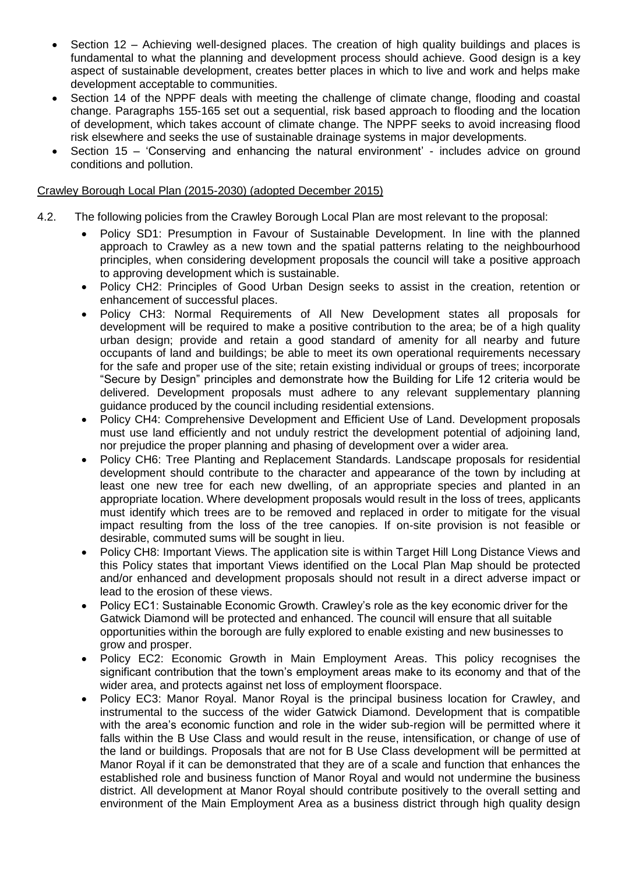- Section 12 Achieving well-designed places. The creation of high quality buildings and places is fundamental to what the planning and development process should achieve. Good design is a key aspect of sustainable development, creates better places in which to live and work and helps make development acceptable to communities.
- Section 14 of the NPPF deals with meeting the challenge of climate change, flooding and coastal change. Paragraphs 155-165 set out a sequential, risk based approach to flooding and the location of development, which takes account of climate change. The NPPF seeks to avoid increasing flood risk elsewhere and seeks the use of sustainable drainage systems in major developments.
- Section 15 'Conserving and enhancing the natural environment' includes advice on ground conditions and pollution.

#### Crawley Borough Local Plan (2015-2030) (adopted December 2015)

- 4.2. The following policies from the Crawley Borough Local Plan are most relevant to the proposal:
	- Policy SD1: Presumption in Favour of Sustainable Development. In line with the planned approach to Crawley as a new town and the spatial patterns relating to the neighbourhood principles, when considering development proposals the council will take a positive approach to approving development which is sustainable.
	- Policy CH2: Principles of Good Urban Design seeks to assist in the creation, retention or enhancement of successful places.
	- Policy CH3: Normal Requirements of All New Development states all proposals for development will be required to make a positive contribution to the area; be of a high quality urban design; provide and retain a good standard of amenity for all nearby and future occupants of land and buildings; be able to meet its own operational requirements necessary for the safe and proper use of the site; retain existing individual or groups of trees; incorporate "Secure by Design" principles and demonstrate how the Building for Life 12 criteria would be delivered. Development proposals must adhere to any relevant supplementary planning guidance produced by the council including residential extensions.
	- Policy CH4: Comprehensive Development and Efficient Use of Land. Development proposals must use land efficiently and not unduly restrict the development potential of adjoining land, nor prejudice the proper planning and phasing of development over a wider area.
	- Policy CH6: Tree Planting and Replacement Standards. Landscape proposals for residential development should contribute to the character and appearance of the town by including at least one new tree for each new dwelling, of an appropriate species and planted in an appropriate location. Where development proposals would result in the loss of trees, applicants must identify which trees are to be removed and replaced in order to mitigate for the visual impact resulting from the loss of the tree canopies. If on-site provision is not feasible or desirable, commuted sums will be sought in lieu.
	- Policy CH8: Important Views. The application site is within Target Hill Long Distance Views and this Policy states that important Views identified on the Local Plan Map should be protected and/or enhanced and development proposals should not result in a direct adverse impact or lead to the erosion of these views.
	- Policy EC1: Sustainable Economic Growth. Crawley's role as the key economic driver for the Gatwick Diamond will be protected and enhanced. The council will ensure that all suitable opportunities within the borough are fully explored to enable existing and new businesses to grow and prosper.
	- Policy EC2: Economic Growth in Main Employment Areas. This policy recognises the significant contribution that the town's employment areas make to its economy and that of the wider area, and protects against net loss of employment floorspace.
	- Policy EC3: Manor Royal. Manor Royal is the principal business location for Crawley, and instrumental to the success of the wider Gatwick Diamond. Development that is compatible with the area's economic function and role in the wider sub-region will be permitted where it falls within the B Use Class and would result in the reuse, intensification, or change of use of the land or buildings. Proposals that are not for B Use Class development will be permitted at Manor Royal if it can be demonstrated that they are of a scale and function that enhances the established role and business function of Manor Royal and would not undermine the business district. All development at Manor Royal should contribute positively to the overall setting and environment of the Main Employment Area as a business district through high quality design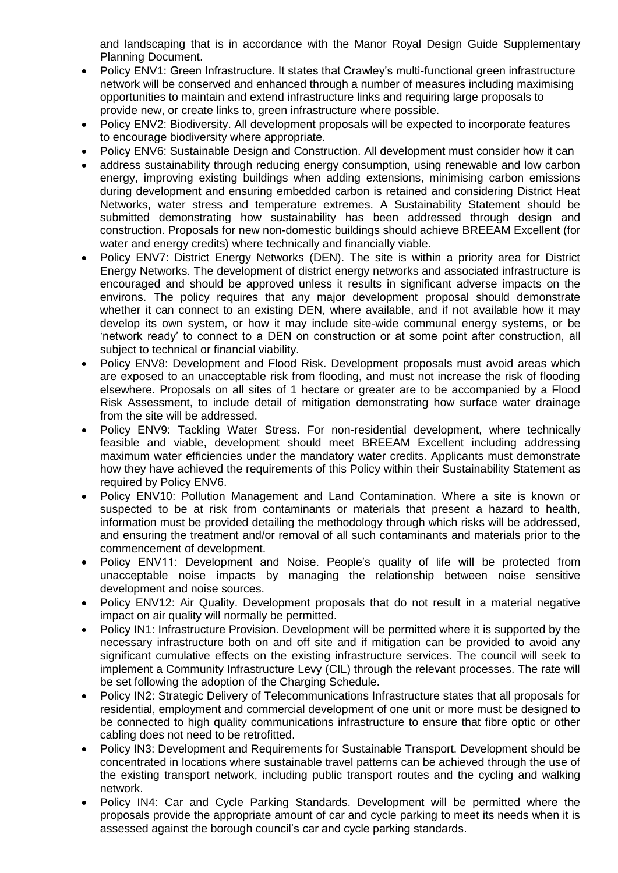and landscaping that is in accordance with the Manor Royal Design Guide Supplementary Planning Document.

- Policy ENV1: Green Infrastructure. It states that Crawley's multi-functional green infrastructure network will be conserved and enhanced through a number of measures including maximising opportunities to maintain and extend infrastructure links and requiring large proposals to provide new, or create links to, green infrastructure where possible.
- Policy ENV2: Biodiversity. All development proposals will be expected to incorporate features to encourage biodiversity where appropriate.
- Policy ENV6: Sustainable Design and Construction. All development must consider how it can
- address sustainability through reducing energy consumption, using renewable and low carbon energy, improving existing buildings when adding extensions, minimising carbon emissions during development and ensuring embedded carbon is retained and considering District Heat Networks, water stress and temperature extremes. A Sustainability Statement should be submitted demonstrating how sustainability has been addressed through design and construction. Proposals for new non-domestic buildings should achieve BREEAM Excellent (for water and energy credits) where technically and financially viable.
- Policy ENV7: District Energy Networks (DEN). The site is within a priority area for District Energy Networks. The development of district energy networks and associated infrastructure is encouraged and should be approved unless it results in significant adverse impacts on the environs. The policy requires that any major development proposal should demonstrate whether it can connect to an existing DEN, where available, and if not available how it may develop its own system, or how it may include site-wide communal energy systems, or be 'network ready' to connect to a DEN on construction or at some point after construction, all subject to technical or financial viability.
- Policy ENV8: Development and Flood Risk. Development proposals must avoid areas which are exposed to an unacceptable risk from flooding, and must not increase the risk of flooding elsewhere. Proposals on all sites of 1 hectare or greater are to be accompanied by a Flood Risk Assessment, to include detail of mitigation demonstrating how surface water drainage from the site will be addressed.
- Policy ENV9: Tackling Water Stress. For non-residential development, where technically feasible and viable, development should meet BREEAM Excellent including addressing maximum water efficiencies under the mandatory water credits. Applicants must demonstrate how they have achieved the requirements of this Policy within their Sustainability Statement as required by Policy ENV6.
- Policy ENV10: Pollution Management and Land Contamination. Where a site is known or suspected to be at risk from contaminants or materials that present a hazard to health, information must be provided detailing the methodology through which risks will be addressed, and ensuring the treatment and/or removal of all such contaminants and materials prior to the commencement of development.
- Policy ENV11: Development and Noise. People's quality of life will be protected from unacceptable noise impacts by managing the relationship between noise sensitive development and noise sources.
- Policy ENV12: Air Quality. Development proposals that do not result in a material negative impact on air quality will normally be permitted.
- Policy IN1: Infrastructure Provision. Development will be permitted where it is supported by the necessary infrastructure both on and off site and if mitigation can be provided to avoid any significant cumulative effects on the existing infrastructure services. The council will seek to implement a Community Infrastructure Levy (CIL) through the relevant processes. The rate will be set following the adoption of the Charging Schedule.
- Policy IN2: Strategic Delivery of Telecommunications Infrastructure states that all proposals for residential, employment and commercial development of one unit or more must be designed to be connected to high quality communications infrastructure to ensure that fibre optic or other cabling does not need to be retrofitted.
- Policy IN3: Development and Requirements for Sustainable Transport. Development should be concentrated in locations where sustainable travel patterns can be achieved through the use of the existing transport network, including public transport routes and the cycling and walking network.
- Policy IN4: Car and Cycle Parking Standards. Development will be permitted where the proposals provide the appropriate amount of car and cycle parking to meet its needs when it is assessed against the borough council's car and cycle parking standards.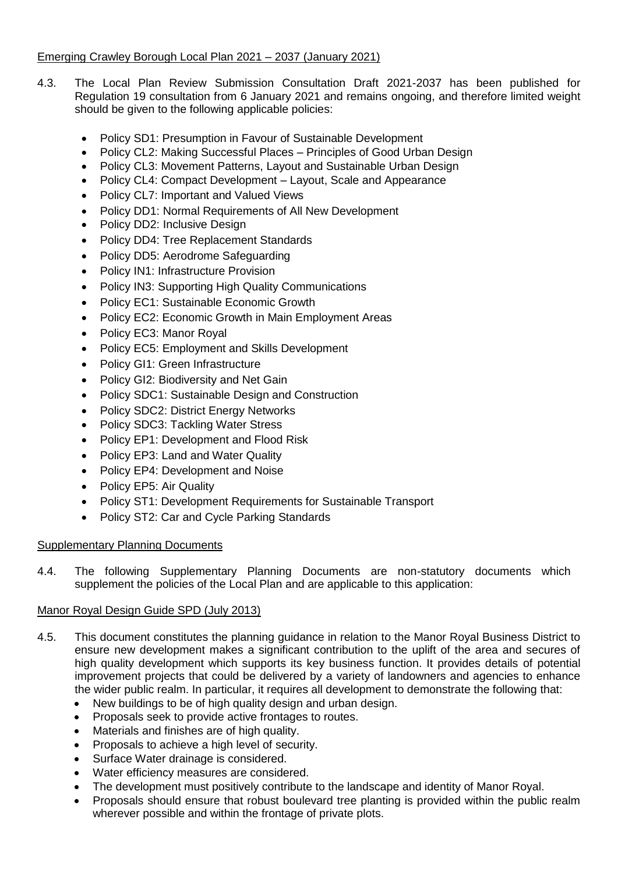# Emerging Crawley Borough Local Plan 2021 – 2037 (January 2021)

- 4.3. The Local Plan Review Submission Consultation Draft 2021-2037 has been published for Regulation 19 consultation from 6 January 2021 and remains ongoing, and therefore limited weight should be given to the following applicable policies:
	- Policy SD1: Presumption in Favour of Sustainable Development
	- Policy CL2: Making Successful Places Principles of Good Urban Design
	- Policy CL3: Movement Patterns, Layout and Sustainable Urban Design
	- Policy CL4: Compact Development Layout, Scale and Appearance
	- Policy CL7: Important and Valued Views
	- Policy DD1: Normal Requirements of All New Development
	- Policy DD2: Inclusive Design
	- Policy DD4: Tree Replacement Standards
	- Policy DD5: Aerodrome Safeguarding
	- Policy IN1: Infrastructure Provision
	- Policy IN3: Supporting High Quality Communications
	- Policy EC1: Sustainable Economic Growth
	- Policy EC2: Economic Growth in Main Employment Areas
	- Policy EC3: Manor Royal
	- Policy EC5: Employment and Skills Development
	- Policy GI1: Green Infrastructure
	- Policy GI2: Biodiversity and Net Gain
	- Policy SDC1: Sustainable Design and Construction
	- Policy SDC2: District Energy Networks
	- Policy SDC3: Tackling Water Stress
	- Policy EP1: Development and Flood Risk
	- Policy EP3: Land and Water Quality
	- Policy EP4: Development and Noise
	- Policy EP5: Air Quality
	- Policy ST1: Development Requirements for Sustainable Transport
	- Policy ST2: Car and Cycle Parking Standards

# Supplementary Planning Documents

4.4. The following Supplementary Planning Documents are non-statutory documents which supplement the policies of the Local Plan and are applicable to this application:

# Manor Royal Design Guide SPD (July 2013)

- 4.5. This document constitutes the planning guidance in relation to the Manor Royal Business District to ensure new development makes a significant contribution to the uplift of the area and secures of high quality development which supports its key business function. It provides details of potential improvement projects that could be delivered by a variety of landowners and agencies to enhance the wider public realm. In particular, it requires all development to demonstrate the following that:
	- New buildings to be of high quality design and urban design.
	- Proposals seek to provide active frontages to routes.
	- Materials and finishes are of high quality.
	- Proposals to achieve a high level of security.
	- Surface Water drainage is considered.
	- Water efficiency measures are considered.
	- The development must positively contribute to the landscape and identity of Manor Royal.
	- Proposals should ensure that robust boulevard tree planting is provided within the public realm wherever possible and within the frontage of private plots.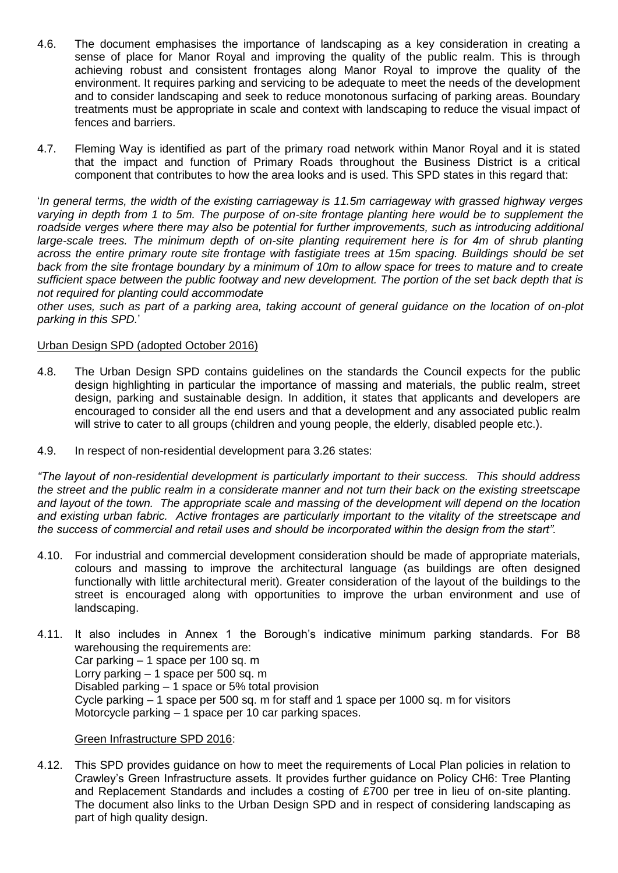- 4.6. The document emphasises the importance of landscaping as a key consideration in creating a sense of place for Manor Royal and improving the quality of the public realm. This is through achieving robust and consistent frontages along Manor Royal to improve the quality of the environment. It requires parking and servicing to be adequate to meet the needs of the development and to consider landscaping and seek to reduce monotonous surfacing of parking areas. Boundary treatments must be appropriate in scale and context with landscaping to reduce the visual impact of fences and barriers.
- 4.7. Fleming Way is identified as part of the primary road network within Manor Royal and it is stated that the impact and function of Primary Roads throughout the Business District is a critical component that contributes to how the area looks and is used. This SPD states in this regard that:

'*In general terms, the width of the existing carriageway is 11.5m carriageway with grassed highway verges varying in depth from 1 to 5m. The purpose of on-site frontage planting here would be to supplement the roadside verges where there may also be potential for further improvements, such as introducing additional large-scale trees. The minimum depth of on-site planting requirement here is for 4m of shrub planting across the entire primary route site frontage with fastigiate trees at 15m spacing. Buildings should be set back from the site frontage boundary by a minimum of 10m to allow space for trees to mature and to create sufficient space between the public footway and new development. The portion of the set back depth that is not required for planting could accommodate*

*other uses, such as part of a parking area, taking account of general guidance on the location of on-plot parking in this SPD.*'

# Urban Design SPD (adopted October 2016)

- 4.8. The Urban Design SPD contains guidelines on the standards the Council expects for the public design highlighting in particular the importance of massing and materials, the public realm, street design, parking and sustainable design. In addition, it states that applicants and developers are encouraged to consider all the end users and that a development and any associated public realm will strive to cater to all groups (children and young people, the elderly, disabled people etc.).
- 4.9. In respect of non-residential development para 3.26 states:

*"The layout of non-residential development is particularly important to their success. This should address the street and the public realm in a considerate manner and not turn their back on the existing streetscape and layout of the town. The appropriate scale and massing of the development will depend on the location and existing urban fabric. Active frontages are particularly important to the vitality of the streetscape and the success of commercial and retail uses and should be incorporated within the design from the start".* 

- 4.10. For industrial and commercial development consideration should be made of appropriate materials, colours and massing to improve the architectural language (as buildings are often designed functionally with little architectural merit). Greater consideration of the layout of the buildings to the street is encouraged along with opportunities to improve the urban environment and use of landscaping.
- 4.11. It also includes in Annex 1 the Borough's indicative minimum parking standards. For B8 warehousing the requirements are: Car parking – 1 space per 100 sq. m Lorry parking – 1 space per 500 sq. m Disabled parking – 1 space or 5% total provision Cycle parking – 1 space per 500 sq. m for staff and 1 space per 1000 sq. m for visitors Motorcycle parking – 1 space per 10 car parking spaces.

#### Green Infrastructure SPD 2016:

4.12. This SPD provides guidance on how to meet the requirements of Local Plan policies in relation to Crawley's Green Infrastructure assets. It provides further guidance on Policy CH6: Tree Planting and Replacement Standards and includes a costing of £700 per tree in lieu of on-site planting. The document also links to the Urban Design SPD and in respect of considering landscaping as part of high quality design.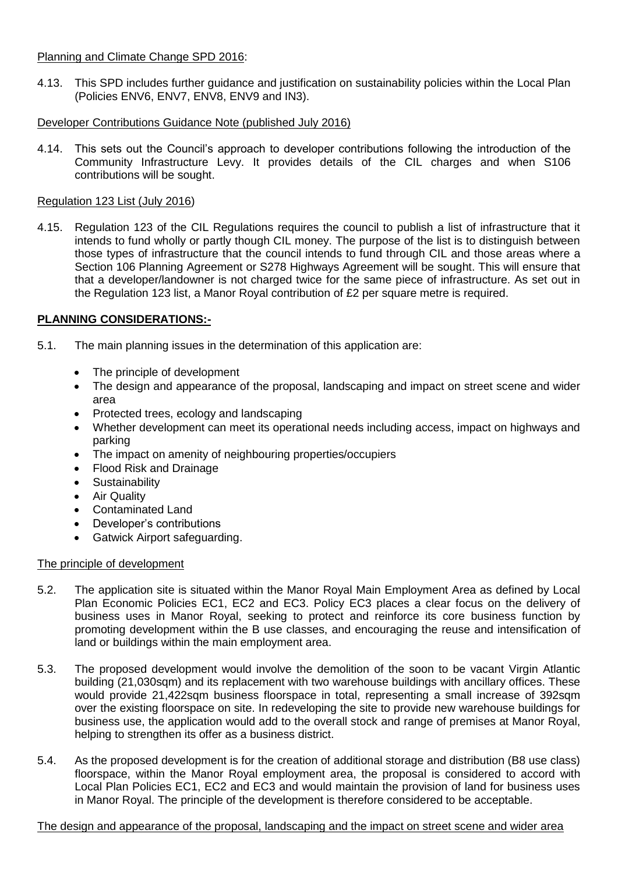# Planning and Climate Change SPD 2016:

4.13. This SPD includes further guidance and justification on sustainability policies within the Local Plan (Policies ENV6, ENV7, ENV8, ENV9 and IN3).

# Developer Contributions Guidance Note (published July 2016)

4.14. This sets out the Council's approach to developer contributions following the introduction of the Community Infrastructure Levy. It provides details of the CIL charges and when S106 contributions will be sought.

# Regulation 123 List (July 2016)

4.15. Regulation 123 of the CIL Regulations requires the council to publish a list of infrastructure that it intends to fund wholly or partly though CIL money. The purpose of the list is to distinguish between those types of infrastructure that the council intends to fund through CIL and those areas where a Section 106 Planning Agreement or S278 Highways Agreement will be sought. This will ensure that that a developer/landowner is not charged twice for the same piece of infrastructure. As set out in the Regulation 123 list, a Manor Royal contribution of £2 per square metre is required.

# **PLANNING CONSIDERATIONS:-**

- 5.1. The main planning issues in the determination of this application are:
	- The principle of development
	- The design and appearance of the proposal, landscaping and impact on street scene and wider area
	- Protected trees, ecology and landscaping
	- Whether development can meet its operational needs including access, impact on highways and parking
	- The impact on amenity of neighbouring properties/occupiers
	- Flood Risk and Drainage
	- **•** Sustainability
	- Air Quality
	- Contaminated Land
	- Developer's contributions
	- Gatwick Airport safeguarding.

# The principle of development

- 5.2. The application site is situated within the Manor Royal Main Employment Area as defined by Local Plan Economic Policies EC1, EC2 and EC3. Policy EC3 places a clear focus on the delivery of business uses in Manor Royal, seeking to protect and reinforce its core business function by promoting development within the B use classes, and encouraging the reuse and intensification of land or buildings within the main employment area.
- 5.3. The proposed development would involve the demolition of the soon to be vacant Virgin Atlantic building (21,030sqm) and its replacement with two warehouse buildings with ancillary offices. These would provide 21,422sqm business floorspace in total, representing a small increase of 392sqm over the existing floorspace on site. In redeveloping the site to provide new warehouse buildings for business use, the application would add to the overall stock and range of premises at Manor Royal, helping to strengthen its offer as a business district.
- 5.4. As the proposed development is for the creation of additional storage and distribution (B8 use class) floorspace, within the Manor Royal employment area, the proposal is considered to accord with Local Plan Policies EC1, EC2 and EC3 and would maintain the provision of land for business uses in Manor Royal. The principle of the development is therefore considered to be acceptable.

#### The design and appearance of the proposal, landscaping and the impact on street scene and wider area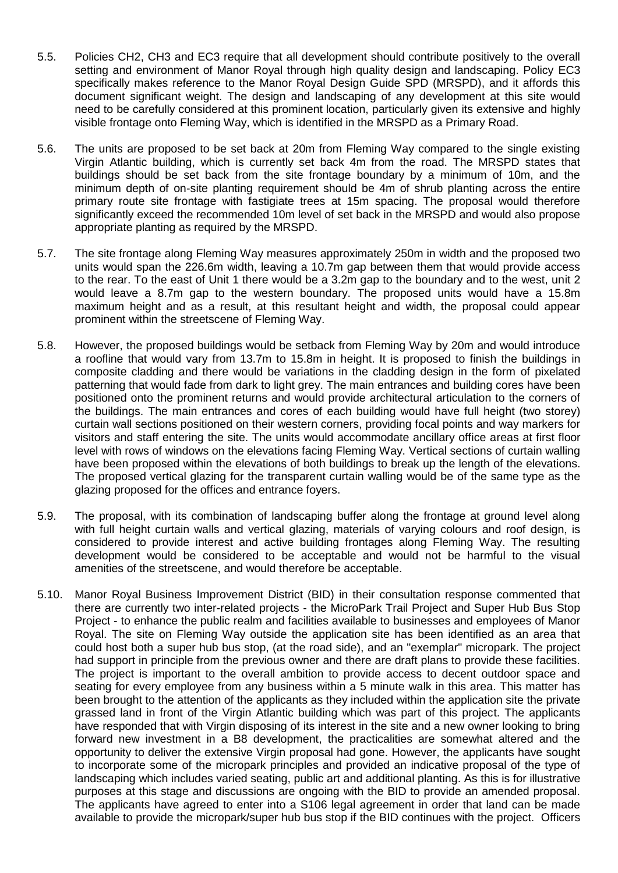- 5.5. Policies CH2, CH3 and EC3 require that all development should contribute positively to the overall setting and environment of Manor Royal through high quality design and landscaping. Policy EC3 specifically makes reference to the Manor Royal Design Guide SPD (MRSPD), and it affords this document significant weight. The design and landscaping of any development at this site would need to be carefully considered at this prominent location, particularly given its extensive and highly visible frontage onto Fleming Way, which is identified in the MRSPD as a Primary Road.
- 5.6. The units are proposed to be set back at 20m from Fleming Way compared to the single existing Virgin Atlantic building, which is currently set back 4m from the road. The MRSPD states that buildings should be set back from the site frontage boundary by a minimum of 10m, and the minimum depth of on-site planting requirement should be 4m of shrub planting across the entire primary route site frontage with fastigiate trees at 15m spacing. The proposal would therefore significantly exceed the recommended 10m level of set back in the MRSPD and would also propose appropriate planting as required by the MRSPD.
- 5.7. The site frontage along Fleming Way measures approximately 250m in width and the proposed two units would span the 226.6m width, leaving a 10.7m gap between them that would provide access to the rear. To the east of Unit 1 there would be a 3.2m gap to the boundary and to the west, unit 2 would leave a 8.7m gap to the western boundary. The proposed units would have a 15.8m maximum height and as a result, at this resultant height and width, the proposal could appear prominent within the streetscene of Fleming Way.
- 5.8. However, the proposed buildings would be setback from Fleming Way by 20m and would introduce a roofline that would vary from 13.7m to 15.8m in height. It is proposed to finish the buildings in composite cladding and there would be variations in the cladding design in the form of pixelated patterning that would fade from dark to light grey. The main entrances and building cores have been positioned onto the prominent returns and would provide architectural articulation to the corners of the buildings. The main entrances and cores of each building would have full height (two storey) curtain wall sections positioned on their western corners, providing focal points and way markers for visitors and staff entering the site. The units would accommodate ancillary office areas at first floor level with rows of windows on the elevations facing Fleming Way. Vertical sections of curtain walling have been proposed within the elevations of both buildings to break up the length of the elevations. The proposed vertical glazing for the transparent curtain walling would be of the same type as the glazing proposed for the offices and entrance foyers.
- 5.9. The proposal, with its combination of landscaping buffer along the frontage at ground level along with full height curtain walls and vertical glazing, materials of varying colours and roof design, is considered to provide interest and active building frontages along Fleming Way. The resulting development would be considered to be acceptable and would not be harmful to the visual amenities of the streetscene, and would therefore be acceptable.
- 5.10. Manor Royal Business Improvement District (BID) in their consultation response commented that there are currently two inter-related projects - the MicroPark Trail Project and Super Hub Bus Stop Project - to enhance the public realm and facilities available to businesses and employees of Manor Royal. The site on Fleming Way outside the application site has been identified as an area that could host both a super hub bus stop, (at the road side), and an "exemplar" micropark. The project had support in principle from the previous owner and there are draft plans to provide these facilities. The project is important to the overall ambition to provide access to decent outdoor space and seating for every employee from any business within a 5 minute walk in this area. This matter has been brought to the attention of the applicants as they included within the application site the private grassed land in front of the Virgin Atlantic building which was part of this project. The applicants have responded that with Virgin disposing of its interest in the site and a new owner looking to bring forward new investment in a B8 development, the practicalities are somewhat altered and the opportunity to deliver the extensive Virgin proposal had gone. However, the applicants have sought to incorporate some of the micropark principles and provided an indicative proposal of the type of landscaping which includes varied seating, public art and additional planting. As this is for illustrative purposes at this stage and discussions are ongoing with the BID to provide an amended proposal. The applicants have agreed to enter into a S106 legal agreement in order that land can be made available to provide the micropark/super hub bus stop if the BID continues with the project. Officers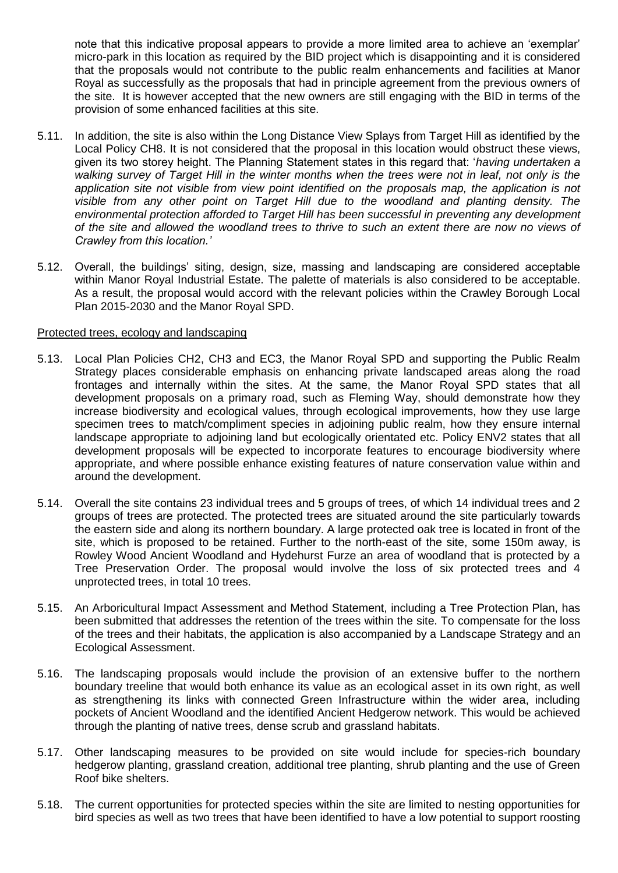note that this indicative proposal appears to provide a more limited area to achieve an 'exemplar' micro-park in this location as required by the BID project which is disappointing and it is considered that the proposals would not contribute to the public realm enhancements and facilities at Manor Royal as successfully as the proposals that had in principle agreement from the previous owners of the site. It is however accepted that the new owners are still engaging with the BID in terms of the provision of some enhanced facilities at this site.

- 5.11. In addition, the site is also within the Long Distance View Splays from Target Hill as identified by the Local Policy CH8. It is not considered that the proposal in this location would obstruct these views, given its two storey height. The Planning Statement states in this regard that: '*having undertaken a walking survey of Target Hill in the winter months when the trees were not in leaf, not only is the application site not visible from view point identified on the proposals map, the application is not visible from any other point on Target Hill due to the woodland and planting density. The environmental protection afforded to Target Hill has been successful in preventing any development of the site and allowed the woodland trees to thrive to such an extent there are now no views of Crawley from this location.'*
- 5.12. Overall, the buildings' siting, design, size, massing and landscaping are considered acceptable within Manor Royal Industrial Estate. The palette of materials is also considered to be acceptable. As a result, the proposal would accord with the relevant policies within the Crawley Borough Local Plan 2015-2030 and the Manor Royal SPD.

#### Protected trees, ecology and landscaping

- 5.13. Local Plan Policies CH2, CH3 and EC3, the Manor Royal SPD and supporting the Public Realm Strategy places considerable emphasis on enhancing private landscaped areas along the road frontages and internally within the sites. At the same, the Manor Royal SPD states that all development proposals on a primary road, such as Fleming Way, should demonstrate how they increase biodiversity and ecological values, through ecological improvements, how they use large specimen trees to match/compliment species in adjoining public realm, how they ensure internal landscape appropriate to adjoining land but ecologically orientated etc. Policy ENV2 states that all development proposals will be expected to incorporate features to encourage biodiversity where appropriate, and where possible enhance existing features of nature conservation value within and around the development.
- 5.14. Overall the site contains 23 individual trees and 5 groups of trees, of which 14 individual trees and 2 groups of trees are protected. The protected trees are situated around the site particularly towards the eastern side and along its northern boundary. A large protected oak tree is located in front of the site, which is proposed to be retained. Further to the north-east of the site, some 150m away, is Rowley Wood Ancient Woodland and Hydehurst Furze an area of woodland that is protected by a Tree Preservation Order. The proposal would involve the loss of six protected trees and 4 unprotected trees, in total 10 trees.
- 5.15. An Arboricultural Impact Assessment and Method Statement, including a Tree Protection Plan, has been submitted that addresses the retention of the trees within the site. To compensate for the loss of the trees and their habitats, the application is also accompanied by a Landscape Strategy and an Ecological Assessment.
- 5.16. The landscaping proposals would include the provision of an extensive buffer to the northern boundary treeline that would both enhance its value as an ecological asset in its own right, as well as strengthening its links with connected Green Infrastructure within the wider area, including pockets of Ancient Woodland and the identified Ancient Hedgerow network. This would be achieved through the planting of native trees, dense scrub and grassland habitats.
- 5.17. Other landscaping measures to be provided on site would include for species-rich boundary hedgerow planting, grassland creation, additional tree planting, shrub planting and the use of Green Roof bike shelters.
- 5.18. The current opportunities for protected species within the site are limited to nesting opportunities for bird species as well as two trees that have been identified to have a low potential to support roosting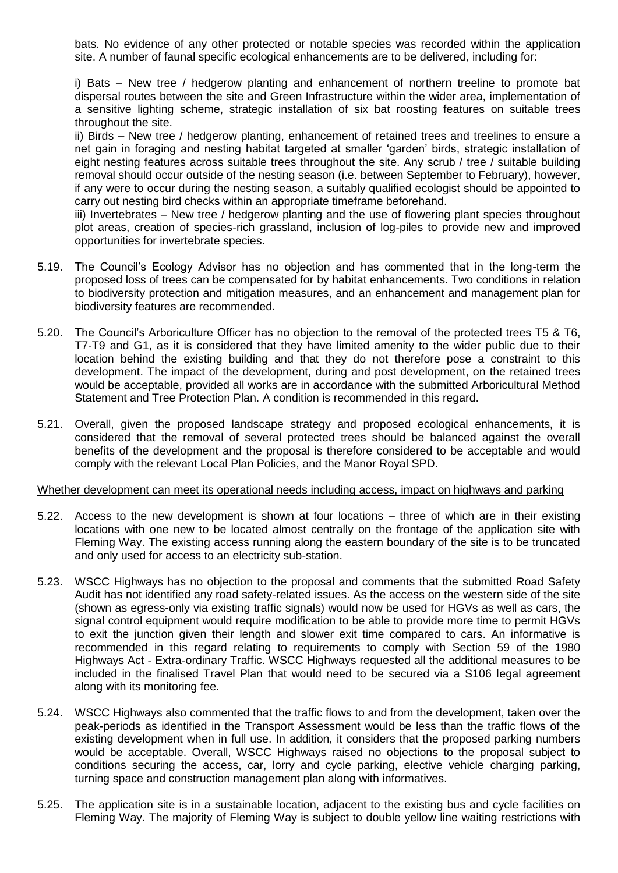bats. No evidence of any other protected or notable species was recorded within the application site. A number of faunal specific ecological enhancements are to be delivered, including for:

i) Bats – New tree / hedgerow planting and enhancement of northern treeline to promote bat dispersal routes between the site and Green Infrastructure within the wider area, implementation of a sensitive lighting scheme, strategic installation of six bat roosting features on suitable trees throughout the site.

ii) Birds – New tree / hedgerow planting, enhancement of retained trees and treelines to ensure a net gain in foraging and nesting habitat targeted at smaller 'garden' birds, strategic installation of eight nesting features across suitable trees throughout the site. Any scrub / tree / suitable building removal should occur outside of the nesting season (i.e. between September to February), however, if any were to occur during the nesting season, a suitably qualified ecologist should be appointed to carry out nesting bird checks within an appropriate timeframe beforehand.

iii) Invertebrates – New tree / hedgerow planting and the use of flowering plant species throughout plot areas, creation of species-rich grassland, inclusion of log-piles to provide new and improved opportunities for invertebrate species.

- 5.19. The Council's Ecology Advisor has no objection and has commented that in the long-term the proposed loss of trees can be compensated for by habitat enhancements. Two conditions in relation to biodiversity protection and mitigation measures, and an enhancement and management plan for biodiversity features are recommended.
- 5.20. The Council's Arboriculture Officer has no objection to the removal of the protected trees T5 & T6, T7-T9 and G1, as it is considered that they have limited amenity to the wider public due to their location behind the existing building and that they do not therefore pose a constraint to this development. The impact of the development, during and post development, on the retained trees would be acceptable, provided all works are in accordance with the submitted Arboricultural Method Statement and Tree Protection Plan. A condition is recommended in this regard.
- 5.21. Overall, given the proposed landscape strategy and proposed ecological enhancements, it is considered that the removal of several protected trees should be balanced against the overall benefits of the development and the proposal is therefore considered to be acceptable and would comply with the relevant Local Plan Policies, and the Manor Royal SPD.

#### Whether development can meet its operational needs including access, impact on highways and parking

- 5.22. Access to the new development is shown at four locations three of which are in their existing locations with one new to be located almost centrally on the frontage of the application site with Fleming Way. The existing access running along the eastern boundary of the site is to be truncated and only used for access to an electricity sub-station.
- 5.23. WSCC Highways has no objection to the proposal and comments that the submitted Road Safety Audit has not identified any road safety-related issues. As the access on the western side of the site (shown as egress-only via existing traffic signals) would now be used for HGVs as well as cars, the signal control equipment would require modification to be able to provide more time to permit HGVs to exit the junction given their length and slower exit time compared to cars. An informative is recommended in this regard relating to requirements to comply with Section 59 of the 1980 Highways Act - Extra-ordinary Traffic. WSCC Highways requested all the additional measures to be included in the finalised Travel Plan that would need to be secured via a S106 legal agreement along with its monitoring fee.
- 5.24. WSCC Highways also commented that the traffic flows to and from the development, taken over the peak-periods as identified in the Transport Assessment would be less than the traffic flows of the existing development when in full use. In addition, it considers that the proposed parking numbers would be acceptable. Overall, WSCC Highways raised no objections to the proposal subject to conditions securing the access, car, lorry and cycle parking, elective vehicle charging parking, turning space and construction management plan along with informatives.
- 5.25. The application site is in a sustainable location, adjacent to the existing bus and cycle facilities on Fleming Way. The majority of Fleming Way is subject to double yellow line waiting restrictions with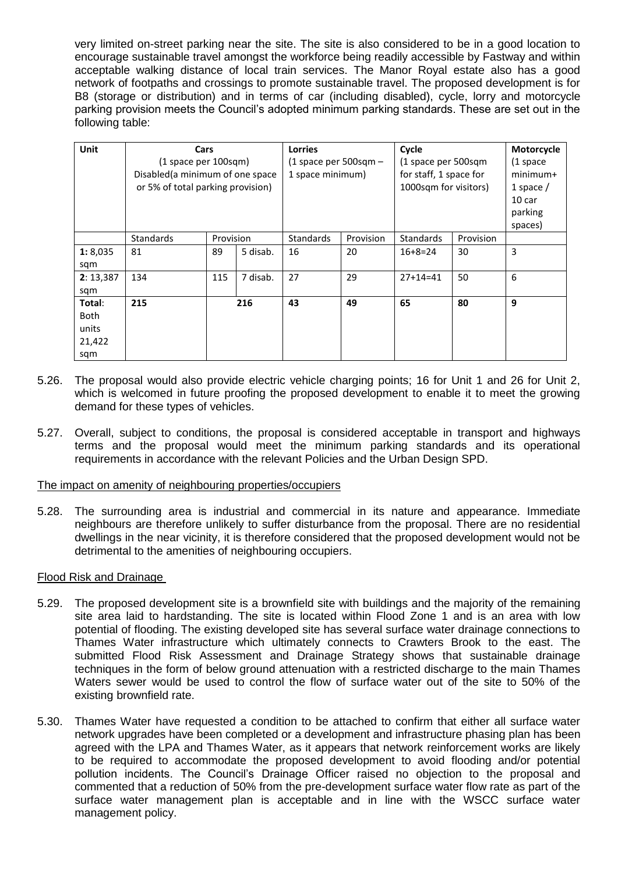very limited on-street parking near the site. The site is also considered to be in a good location to encourage sustainable travel amongst the workforce being readily accessible by Fastway and within acceptable walking distance of local train services. The Manor Royal estate also has a good network of footpaths and crossings to promote sustainable travel. The proposed development is for B8 (storage or distribution) and in terms of car (including disabled), cycle, lorry and motorcycle parking provision meets the Council's adopted minimum parking standards. These are set out in the following table:

| Unit        |                                   | Cycle<br><b>Lorries</b><br>Cars |                         |                  | Motorcycle             |                  |             |                   |
|-------------|-----------------------------------|---------------------------------|-------------------------|------------------|------------------------|------------------|-------------|-------------------|
|             | (1 space per 100sqm)              |                                 | (1 space per 500sqm $-$ |                  | (1 space per 500sqm    |                  | (1 space)   |                   |
|             | Disabled (a minimum of one space  |                                 | 1 space minimum)        |                  | for staff, 1 space for |                  | $minimum+$  |                   |
|             | or 5% of total parking provision) |                                 |                         |                  | 1000sqm for visitors)  |                  | 1 space $/$ |                   |
|             |                                   |                                 |                         |                  |                        |                  |             | 10 <sub>car</sub> |
|             |                                   |                                 |                         |                  |                        |                  |             | parking           |
|             |                                   |                                 |                         |                  |                        |                  |             | spaces)           |
|             | <b>Standards</b>                  | Provision                       |                         | <b>Standards</b> | Provision              | <b>Standards</b> | Provision   |                   |
| 1:8,035     | 81                                | 89                              | 5 disab.                | 16               | 20                     | $16+8=24$        | 30          | 3                 |
| sqm         |                                   |                                 |                         |                  |                        |                  |             |                   |
| 2: 13,387   | 134                               | 115                             | 7 disab.                | 27               | 29                     | $27+14=41$       | 50          | 6                 |
| sqm         |                                   |                                 |                         |                  |                        |                  |             |                   |
| Total:      | 215                               | 216                             |                         | 43               | 49                     | 65               | 80          | 9                 |
| <b>Both</b> |                                   |                                 |                         |                  |                        |                  |             |                   |
| units       |                                   |                                 |                         |                  |                        |                  |             |                   |
| 21,422      |                                   |                                 |                         |                  |                        |                  |             |                   |
| sqm         |                                   |                                 |                         |                  |                        |                  |             |                   |

- 5.26. The proposal would also provide electric vehicle charging points; 16 for Unit 1 and 26 for Unit 2, which is welcomed in future proofing the proposed development to enable it to meet the growing demand for these types of vehicles.
- 5.27. Overall, subject to conditions, the proposal is considered acceptable in transport and highways terms and the proposal would meet the minimum parking standards and its operational requirements in accordance with the relevant Policies and the Urban Design SPD.

#### The impact on amenity of neighbouring properties/occupiers

5.28. The surrounding area is industrial and commercial in its nature and appearance. Immediate neighbours are therefore unlikely to suffer disturbance from the proposal. There are no residential dwellings in the near vicinity, it is therefore considered that the proposed development would not be detrimental to the amenities of neighbouring occupiers.

# Flood Risk and Drainage

- 5.29. The proposed development site is a brownfield site with buildings and the majority of the remaining site area laid to hardstanding. The site is located within Flood Zone 1 and is an area with low potential of flooding. The existing developed site has several surface water drainage connections to Thames Water infrastructure which ultimately connects to Crawters Brook to the east. The submitted Flood Risk Assessment and Drainage Strategy shows that sustainable drainage techniques in the form of below ground attenuation with a restricted discharge to the main Thames Waters sewer would be used to control the flow of surface water out of the site to 50% of the existing brownfield rate.
- 5.30. Thames Water have requested a condition to be attached to confirm that either all surface water network upgrades have been completed or a development and infrastructure phasing plan has been agreed with the LPA and Thames Water, as it appears that network reinforcement works are likely to be required to accommodate the proposed development to avoid flooding and/or potential pollution incidents. The Council's Drainage Officer raised no objection to the proposal and commented that a reduction of 50% from the pre-development surface water flow rate as part of the surface water management plan is acceptable and in line with the WSCC surface water management policy.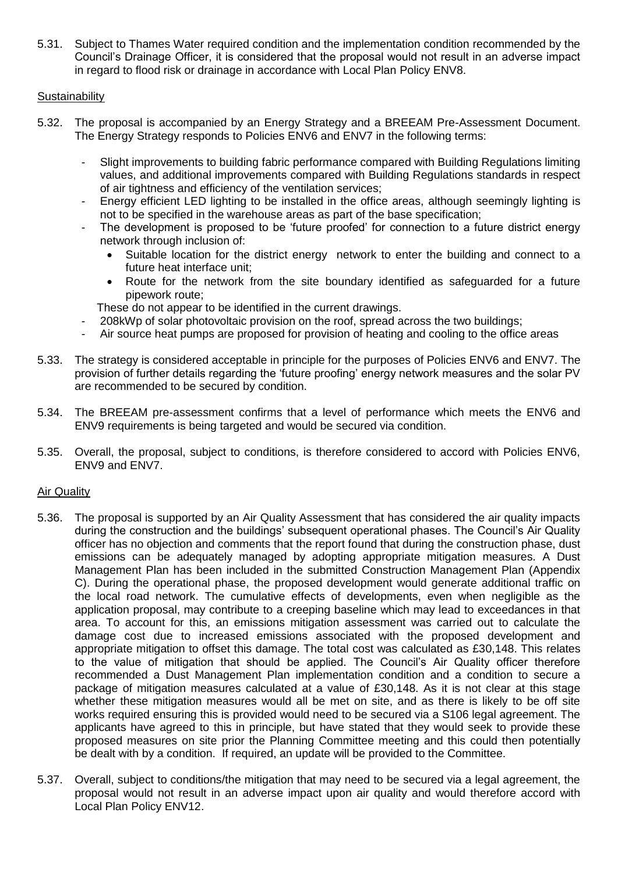5.31. Subject to Thames Water required condition and the implementation condition recommended by the Council's Drainage Officer, it is considered that the proposal would not result in an adverse impact in regard to flood risk or drainage in accordance with Local Plan Policy ENV8.

# **Sustainability**

- 5.32. The proposal is accompanied by an Energy Strategy and a BREEAM Pre-Assessment Document. The Energy Strategy responds to Policies ENV6 and ENV7 in the following terms:
	- Slight improvements to building fabric performance compared with Building Regulations limiting values, and additional improvements compared with Building Regulations standards in respect of air tightness and efficiency of the ventilation services;
	- Energy efficient LED lighting to be installed in the office areas, although seemingly lighting is not to be specified in the warehouse areas as part of the base specification;
	- The development is proposed to be 'future proofed' for connection to a future district energy network through inclusion of:
		- Suitable location for the district energy network to enter the building and connect to a future heat interface unit;
		- Route for the network from the site boundary identified as safeguarded for a future pipework route;
		- These do not appear to be identified in the current drawings.
		- 208kWp of solar photovoltaic provision on the roof, spread across the two buildings;
	- Air source heat pumps are proposed for provision of heating and cooling to the office areas
- 5.33. The strategy is considered acceptable in principle for the purposes of Policies ENV6 and ENV7. The provision of further details regarding the 'future proofing' energy network measures and the solar PV are recommended to be secured by condition.
- 5.34. The BREEAM pre-assessment confirms that a level of performance which meets the ENV6 and ENV9 requirements is being targeted and would be secured via condition.
- 5.35. Overall, the proposal, subject to conditions, is therefore considered to accord with Policies ENV6, ENV9 and ENV7.

# **Air Quality**

- 5.36. The proposal is supported by an Air Quality Assessment that has considered the air quality impacts during the construction and the buildings' subsequent operational phases. The Council's Air Quality officer has no objection and comments that the report found that during the construction phase, dust emissions can be adequately managed by adopting appropriate mitigation measures. A Dust Management Plan has been included in the submitted Construction Management Plan (Appendix C). During the operational phase, the proposed development would generate additional traffic on the local road network. The cumulative effects of developments, even when negligible as the application proposal, may contribute to a creeping baseline which may lead to exceedances in that area. To account for this, an emissions mitigation assessment was carried out to calculate the damage cost due to increased emissions associated with the proposed development and appropriate mitigation to offset this damage. The total cost was calculated as £30,148. This relates to the value of mitigation that should be applied. The Council's Air Quality officer therefore recommended a Dust Management Plan implementation condition and a condition to secure a package of mitigation measures calculated at a value of £30,148. As it is not clear at this stage whether these mitigation measures would all be met on site, and as there is likely to be off site works required ensuring this is provided would need to be secured via a S106 legal agreement. The applicants have agreed to this in principle, but have stated that they would seek to provide these proposed measures on site prior the Planning Committee meeting and this could then potentially be dealt with by a condition. If required, an update will be provided to the Committee.
- 5.37. Overall, subject to conditions/the mitigation that may need to be secured via a legal agreement, the proposal would not result in an adverse impact upon air quality and would therefore accord with Local Plan Policy ENV12.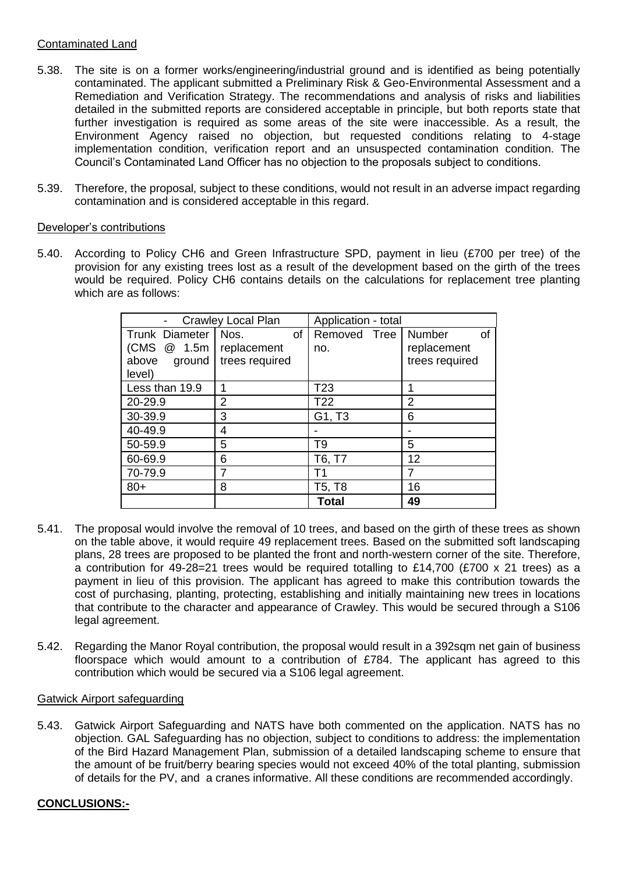# Contaminated Land

- 5.38. The site is on a former works/engineering/industrial ground and is identified as being potentially contaminated. The applicant submitted a Preliminary Risk & Geo-Environmental Assessment and a Remediation and Verification Strategy. The recommendations and analysis of risks and liabilities detailed in the submitted reports are considered acceptable in principle, but both reports state that further investigation is required as some areas of the site were inaccessible. As a result, the Environment Agency raised no objection, but requested conditions relating to 4-stage implementation condition, verification report and an unsuspected contamination condition. The Council's Contaminated Land Officer has no objection to the proposals subject to conditions.
- 5.39. Therefore, the proposal, subject to these conditions, would not result in an adverse impact regarding contamination and is considered acceptable in this regard.

# Developer's contributions

5.40. According to Policy CH6 and Green Infrastructure SPD, payment in lieu (£700 per tree) of the provision for any existing trees lost as a result of the development based on the girth of the trees would be required. Policy CH6 contains details on the calculations for replacement tree planting which are as follows:

|                       | <b>Crawley Local Plan</b> | Application - total |                |  |
|-----------------------|---------------------------|---------------------|----------------|--|
| <b>Trunk Diameter</b> | Nos.<br>οf                | Removed Tree        | Number<br>οf   |  |
| (CMS)<br>@ 1.5m       | replacement               | no.                 | replacement    |  |
| above<br>ground       | trees required            |                     | trees required |  |
| level)                |                           |                     |                |  |
| Less than 19.9        | 1                         | T <sub>23</sub>     | 1              |  |
| 20-29.9               | 2                         | T <sub>22</sub>     | 2              |  |
| 30-39.9               | 3                         | G1, T3              | 6              |  |
| 40-49.9               | 4                         |                     |                |  |
| 50-59.9               | 5                         | T9                  | 5              |  |
| 60-69.9               | 6                         | T6, T7              | 12             |  |
| 70-79.9<br>7          |                           | T1                  | 7              |  |
| $80+$                 | 8                         | T5, T8              | 16             |  |
|                       |                           | <b>Total</b>        | 49             |  |

- 5.41. The proposal would involve the removal of 10 trees, and based on the girth of these trees as shown on the table above, it would require 49 replacement trees. Based on the submitted soft landscaping plans, 28 trees are proposed to be planted the front and north-western corner of the site. Therefore, a contribution for 49-28=21 trees would be required totalling to £14,700 (£700 x 21 trees) as a payment in lieu of this provision. The applicant has agreed to make this contribution towards the cost of purchasing, planting, protecting, establishing and initially maintaining new trees in locations that contribute to the character and appearance of Crawley. This would be secured through a S106 legal agreement.
- 5.42. Regarding the Manor Royal contribution, the proposal would result in a 392sqm net gain of business floorspace which would amount to a contribution of £784. The applicant has agreed to this contribution which would be secured via a S106 legal agreement.

#### Gatwick Airport safeguarding

5.43. Gatwick Airport Safeguarding and NATS have both commented on the application. NATS has no objection. GAL Safeguarding has no objection, subject to conditions to address: the implementation of the Bird Hazard Management Plan, submission of a detailed landscaping scheme to ensure that the amount of be fruit/berry bearing species would not exceed 40% of the total planting, submission of details for the PV, and a cranes informative. All these conditions are recommended accordingly.

# **CONCLUSIONS:-**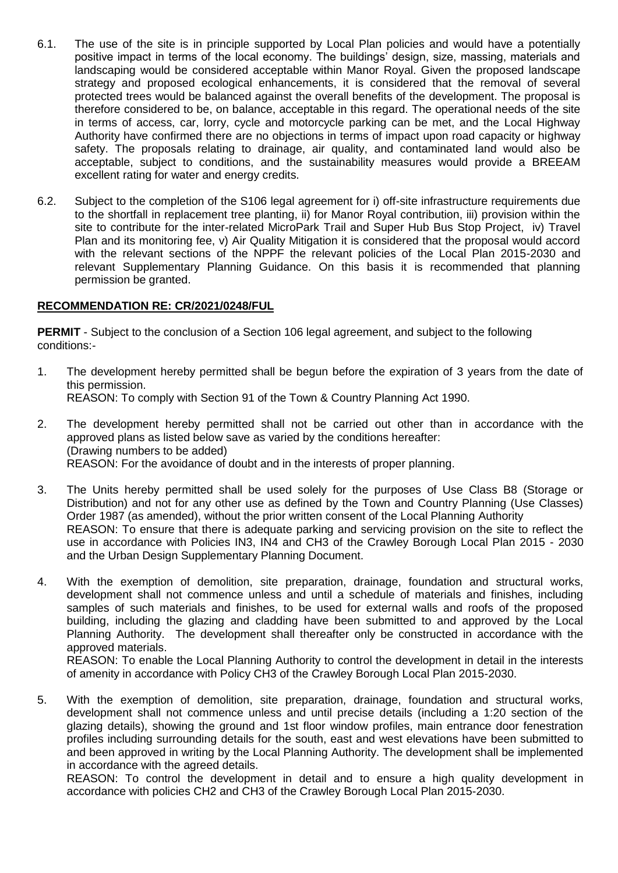- 6.1. The use of the site is in principle supported by Local Plan policies and would have a potentially positive impact in terms of the local economy. The buildings' design, size, massing, materials and landscaping would be considered acceptable within Manor Royal. Given the proposed landscape strategy and proposed ecological enhancements, it is considered that the removal of several protected trees would be balanced against the overall benefits of the development. The proposal is therefore considered to be, on balance, acceptable in this regard. The operational needs of the site in terms of access, car, lorry, cycle and motorcycle parking can be met, and the Local Highway Authority have confirmed there are no objections in terms of impact upon road capacity or highway safety. The proposals relating to drainage, air quality, and contaminated land would also be acceptable, subject to conditions, and the sustainability measures would provide a BREEAM excellent rating for water and energy credits.
- 6.2. Subject to the completion of the S106 legal agreement for i) off-site infrastructure requirements due to the shortfall in replacement tree planting, ii) for Manor Royal contribution, iii) provision within the site to contribute for the inter-related MicroPark Trail and Super Hub Bus Stop Project, iv) Travel Plan and its monitoring fee, v) Air Quality Mitigation it is considered that the proposal would accord with the relevant sections of the NPPF the relevant policies of the Local Plan 2015-2030 and relevant Supplementary Planning Guidance. On this basis it is recommended that planning permission be granted.

# **RECOMMENDATION RE: CR/2021/0248/FUL**

**PERMIT** - Subject to the conclusion of a Section 106 legal agreement, and subject to the following conditions:-

- 1. The development hereby permitted shall be begun before the expiration of 3 years from the date of this permission. REASON: To comply with Section 91 of the Town & Country Planning Act 1990.
- 2. The development hereby permitted shall not be carried out other than in accordance with the approved plans as listed below save as varied by the conditions hereafter: (Drawing numbers to be added) REASON: For the avoidance of doubt and in the interests of proper planning.
- 3. The Units hereby permitted shall be used solely for the purposes of Use Class B8 (Storage or Distribution) and not for any other use as defined by the Town and Country Planning (Use Classes) Order 1987 (as amended), without the prior written consent of the Local Planning Authority REASON: To ensure that there is adequate parking and servicing provision on the site to reflect the use in accordance with Policies IN3, IN4 and CH3 of the Crawley Borough Local Plan 2015 - 2030 and the Urban Design Supplementary Planning Document.
- 4. With the exemption of demolition, site preparation, drainage, foundation and structural works, development shall not commence unless and until a schedule of materials and finishes, including samples of such materials and finishes, to be used for external walls and roofs of the proposed building, including the glazing and cladding have been submitted to and approved by the Local Planning Authority. The development shall thereafter only be constructed in accordance with the approved materials.

REASON: To enable the Local Planning Authority to control the development in detail in the interests of amenity in accordance with Policy CH3 of the Crawley Borough Local Plan 2015-2030.

5. With the exemption of demolition, site preparation, drainage, foundation and structural works, development shall not commence unless and until precise details (including a 1:20 section of the glazing details), showing the ground and 1st floor window profiles, main entrance door fenestration profiles including surrounding details for the south, east and west elevations have been submitted to and been approved in writing by the Local Planning Authority. The development shall be implemented in accordance with the agreed details.

REASON: To control the development in detail and to ensure a high quality development in accordance with policies CH2 and CH3 of the Crawley Borough Local Plan 2015-2030.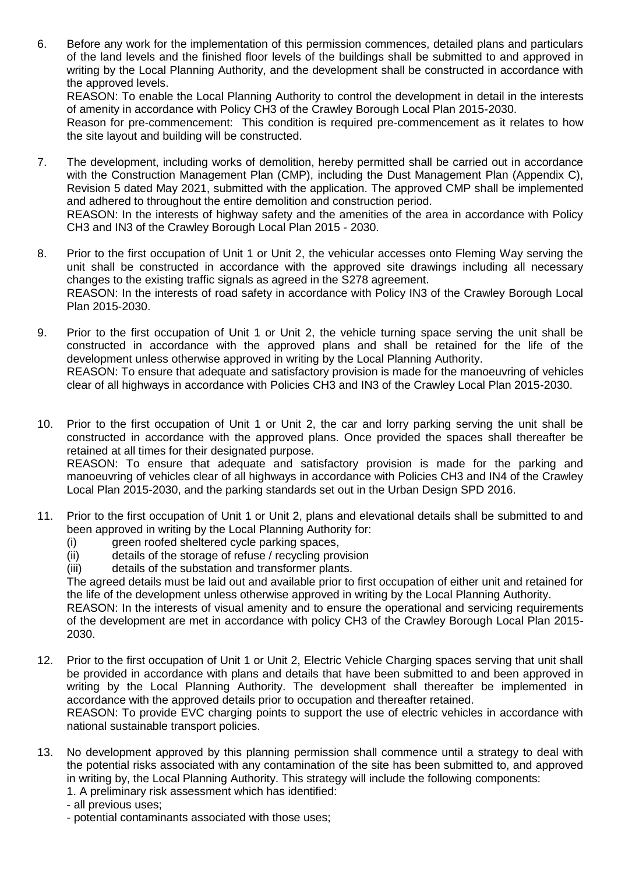6. Before any work for the implementation of this permission commences, detailed plans and particulars of the land levels and the finished floor levels of the buildings shall be submitted to and approved in writing by the Local Planning Authority, and the development shall be constructed in accordance with the approved levels. REASON: To enable the Local Planning Authority to control the development in detail in the interests of amenity in accordance with Policy CH3 of the Crawley Borough Local Plan 2015-2030.

Reason for pre-commencement: This condition is required pre-commencement as it relates to how the site layout and building will be constructed.

7. The development, including works of demolition, hereby permitted shall be carried out in accordance with the Construction Management Plan (CMP), including the Dust Management Plan (Appendix C), Revision 5 dated May 2021, submitted with the application. The approved CMP shall be implemented and adhered to throughout the entire demolition and construction period.

REASON: In the interests of highway safety and the amenities of the area in accordance with Policy CH3 and IN3 of the Crawley Borough Local Plan 2015 - 2030.

- 8. Prior to the first occupation of Unit 1 or Unit 2, the vehicular accesses onto Fleming Way serving the unit shall be constructed in accordance with the approved site drawings including all necessary changes to the existing traffic signals as agreed in the S278 agreement. REASON: In the interests of road safety in accordance with Policy IN3 of the Crawley Borough Local Plan 2015-2030.
- 9. Prior to the first occupation of Unit 1 or Unit 2, the vehicle turning space serving the unit shall be constructed in accordance with the approved plans and shall be retained for the life of the development unless otherwise approved in writing by the Local Planning Authority. REASON: To ensure that adequate and satisfactory provision is made for the manoeuvring of vehicles clear of all highways in accordance with Policies CH3 and IN3 of the Crawley Local Plan 2015-2030.
- 10. Prior to the first occupation of Unit 1 or Unit 2, the car and lorry parking serving the unit shall be constructed in accordance with the approved plans. Once provided the spaces shall thereafter be retained at all times for their designated purpose. REASON: To ensure that adequate and satisfactory provision is made for the parking and manoeuvring of vehicles clear of all highways in accordance with Policies CH3 and IN4 of the Crawley Local Plan 2015-2030, and the parking standards set out in the Urban Design SPD 2016.
- 11. Prior to the first occupation of Unit 1 or Unit 2, plans and elevational details shall be submitted to and been approved in writing by the Local Planning Authority for:
	- (i) green roofed sheltered cycle parking spaces,
	- (ii) details of the storage of refuse / recycling provision
	- (iii) details of the substation and transformer plants.

The agreed details must be laid out and available prior to first occupation of either unit and retained for the life of the development unless otherwise approved in writing by the Local Planning Authority.

REASON: In the interests of visual amenity and to ensure the operational and servicing requirements of the development are met in accordance with policy CH3 of the Crawley Borough Local Plan 2015- 2030.

12. Prior to the first occupation of Unit 1 or Unit 2, Electric Vehicle Charging spaces serving that unit shall be provided in accordance with plans and details that have been submitted to and been approved in writing by the Local Planning Authority. The development shall thereafter be implemented in accordance with the approved details prior to occupation and thereafter retained.

REASON: To provide EVC charging points to support the use of electric vehicles in accordance with national sustainable transport policies.

- 13. No development approved by this planning permission shall commence until a strategy to deal with the potential risks associated with any contamination of the site has been submitted to, and approved in writing by, the Local Planning Authority. This strategy will include the following components:
	- 1. A preliminary risk assessment which has identified:
	- all previous uses;
	- potential contaminants associated with those uses;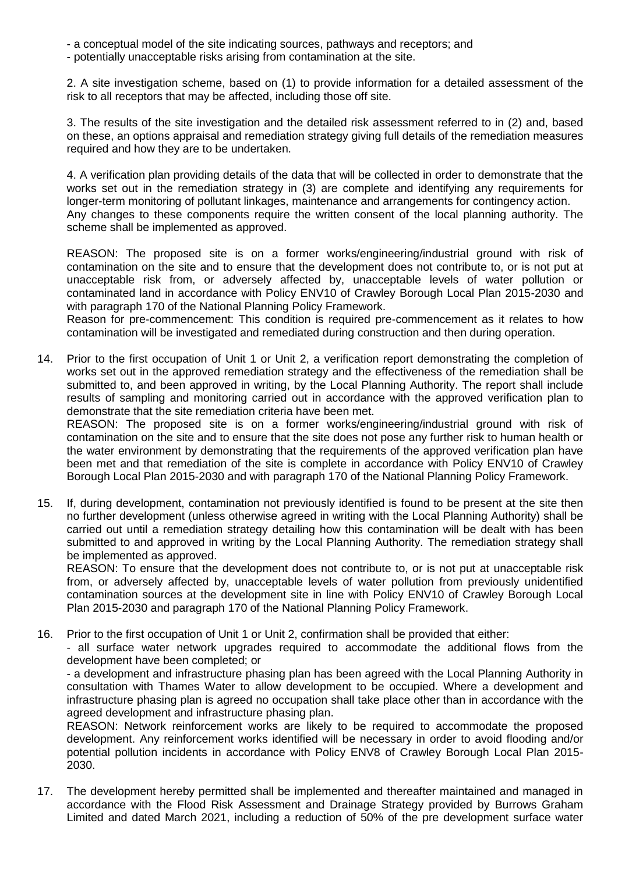- a conceptual model of the site indicating sources, pathways and receptors; and
- potentially unacceptable risks arising from contamination at the site.

2. A site investigation scheme, based on (1) to provide information for a detailed assessment of the risk to all receptors that may be affected, including those off site.

3. The results of the site investigation and the detailed risk assessment referred to in (2) and, based on these, an options appraisal and remediation strategy giving full details of the remediation measures required and how they are to be undertaken.

4. A verification plan providing details of the data that will be collected in order to demonstrate that the works set out in the remediation strategy in (3) are complete and identifying any requirements for longer-term monitoring of pollutant linkages, maintenance and arrangements for contingency action. Any changes to these components require the written consent of the local planning authority. The scheme shall be implemented as approved.

REASON: The proposed site is on a former works/engineering/industrial ground with risk of contamination on the site and to ensure that the development does not contribute to, or is not put at unacceptable risk from, or adversely affected by, unacceptable levels of water pollution or contaminated land in accordance with Policy ENV10 of Crawley Borough Local Plan 2015-2030 and with paragraph 170 of the National Planning Policy Framework.

Reason for pre-commencement: This condition is required pre-commencement as it relates to how contamination will be investigated and remediated during construction and then during operation.

14. Prior to the first occupation of Unit 1 or Unit 2, a verification report demonstrating the completion of works set out in the approved remediation strategy and the effectiveness of the remediation shall be submitted to, and been approved in writing, by the Local Planning Authority. The report shall include results of sampling and monitoring carried out in accordance with the approved verification plan to demonstrate that the site remediation criteria have been met.

REASON: The proposed site is on a former works/engineering/industrial ground with risk of contamination on the site and to ensure that the site does not pose any further risk to human health or the water environment by demonstrating that the requirements of the approved verification plan have been met and that remediation of the site is complete in accordance with Policy ENV10 of Crawley Borough Local Plan 2015-2030 and with paragraph 170 of the National Planning Policy Framework.

15. If, during development, contamination not previously identified is found to be present at the site then no further development (unless otherwise agreed in writing with the Local Planning Authority) shall be carried out until a remediation strategy detailing how this contamination will be dealt with has been submitted to and approved in writing by the Local Planning Authority. The remediation strategy shall be implemented as approved.

REASON: To ensure that the development does not contribute to, or is not put at unacceptable risk from, or adversely affected by, unacceptable levels of water pollution from previously unidentified contamination sources at the development site in line with Policy ENV10 of Crawley Borough Local Plan 2015-2030 and paragraph 170 of the National Planning Policy Framework.

16. Prior to the first occupation of Unit 1 or Unit 2, confirmation shall be provided that either:

- all surface water network upgrades required to accommodate the additional flows from the development have been completed; or

- a development and infrastructure phasing plan has been agreed with the Local Planning Authority in consultation with Thames Water to allow development to be occupied. Where a development and infrastructure phasing plan is agreed no occupation shall take place other than in accordance with the agreed development and infrastructure phasing plan.

REASON: Network reinforcement works are likely to be required to accommodate the proposed development. Any reinforcement works identified will be necessary in order to avoid flooding and/or potential pollution incidents in accordance with Policy ENV8 of Crawley Borough Local Plan 2015- 2030.

17. The development hereby permitted shall be implemented and thereafter maintained and managed in accordance with the Flood Risk Assessment and Drainage Strategy provided by Burrows Graham Limited and dated March 2021, including a reduction of 50% of the pre development surface water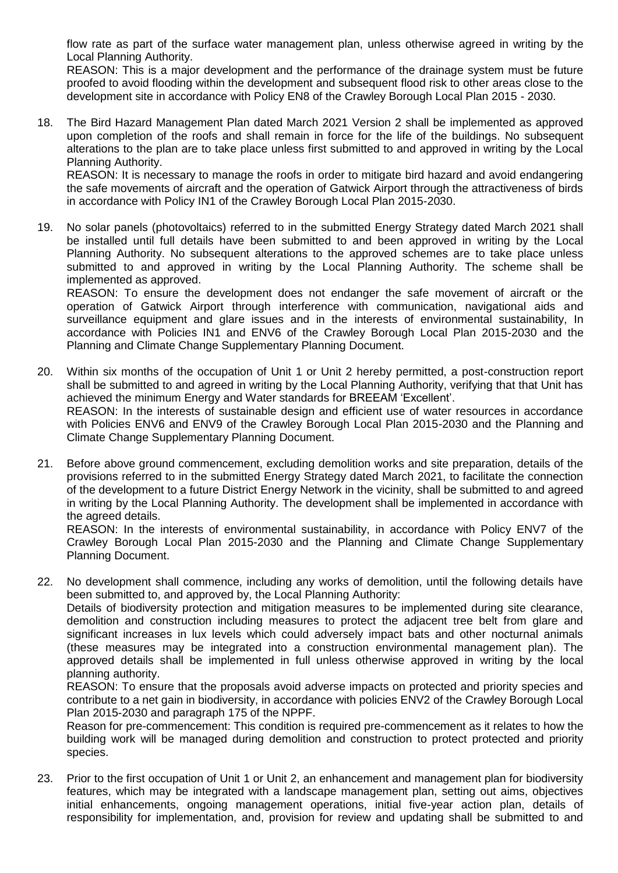flow rate as part of the surface water management plan, unless otherwise agreed in writing by the Local Planning Authority.

REASON: This is a major development and the performance of the drainage system must be future proofed to avoid flooding within the development and subsequent flood risk to other areas close to the development site in accordance with Policy EN8 of the Crawley Borough Local Plan 2015 - 2030.

18. The Bird Hazard Management Plan dated March 2021 Version 2 shall be implemented as approved upon completion of the roofs and shall remain in force for the life of the buildings. No subsequent alterations to the plan are to take place unless first submitted to and approved in writing by the Local Planning Authority.

REASON: It is necessary to manage the roofs in order to mitigate bird hazard and avoid endangering the safe movements of aircraft and the operation of Gatwick Airport through the attractiveness of birds in accordance with Policy IN1 of the Crawley Borough Local Plan 2015-2030.

19. No solar panels (photovoltaics) referred to in the submitted Energy Strategy dated March 2021 shall be installed until full details have been submitted to and been approved in writing by the Local Planning Authority. No subsequent alterations to the approved schemes are to take place unless submitted to and approved in writing by the Local Planning Authority. The scheme shall be implemented as approved.

REASON: To ensure the development does not endanger the safe movement of aircraft or the operation of Gatwick Airport through interference with communication, navigational aids and surveillance equipment and glare issues and in the interests of environmental sustainability, In accordance with Policies IN1 and ENV6 of the Crawley Borough Local Plan 2015-2030 and the Planning and Climate Change Supplementary Planning Document.

- 20. Within six months of the occupation of Unit 1 or Unit 2 hereby permitted, a post-construction report shall be submitted to and agreed in writing by the Local Planning Authority, verifying that that Unit has achieved the minimum Energy and Water standards for BREEAM 'Excellent'. REASON: In the interests of sustainable design and efficient use of water resources in accordance with Policies ENV6 and ENV9 of the Crawley Borough Local Plan 2015-2030 and the Planning and Climate Change Supplementary Planning Document.
- 21. Before above ground commencement, excluding demolition works and site preparation, details of the provisions referred to in the submitted Energy Strategy dated March 2021, to facilitate the connection of the development to a future District Energy Network in the vicinity, shall be submitted to and agreed in writing by the Local Planning Authority. The development shall be implemented in accordance with the agreed details.

REASON: In the interests of environmental sustainability, in accordance with Policy ENV7 of the Crawley Borough Local Plan 2015-2030 and the Planning and Climate Change Supplementary Planning Document.

22. No development shall commence, including any works of demolition, until the following details have been submitted to, and approved by, the Local Planning Authority:

Details of biodiversity protection and mitigation measures to be implemented during site clearance, demolition and construction including measures to protect the adjacent tree belt from glare and significant increases in lux levels which could adversely impact bats and other nocturnal animals (these measures may be integrated into a construction environmental management plan). The approved details shall be implemented in full unless otherwise approved in writing by the local planning authority.

REASON: To ensure that the proposals avoid adverse impacts on protected and priority species and contribute to a net gain in biodiversity, in accordance with policies ENV2 of the Crawley Borough Local Plan 2015-2030 and paragraph 175 of the NPPF.

Reason for pre-commencement: This condition is required pre-commencement as it relates to how the building work will be managed during demolition and construction to protect protected and priority species.

23. Prior to the first occupation of Unit 1 or Unit 2, an enhancement and management plan for biodiversity features, which may be integrated with a landscape management plan, setting out aims, objectives initial enhancements, ongoing management operations, initial five-year action plan, details of responsibility for implementation, and, provision for review and updating shall be submitted to and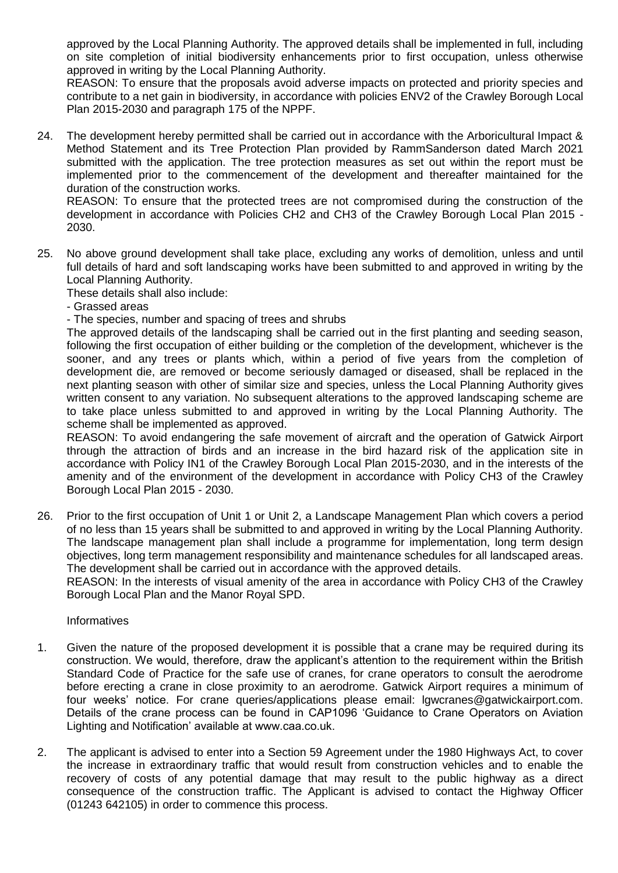approved by the Local Planning Authority. The approved details shall be implemented in full, including on site completion of initial biodiversity enhancements prior to first occupation, unless otherwise approved in writing by the Local Planning Authority.

REASON: To ensure that the proposals avoid adverse impacts on protected and priority species and contribute to a net gain in biodiversity, in accordance with policies ENV2 of the Crawley Borough Local Plan 2015-2030 and paragraph 175 of the NPPF.

24. The development hereby permitted shall be carried out in accordance with the Arboricultural Impact & Method Statement and its Tree Protection Plan provided by RammSanderson dated March 2021 submitted with the application. The tree protection measures as set out within the report must be implemented prior to the commencement of the development and thereafter maintained for the duration of the construction works.

REASON: To ensure that the protected trees are not compromised during the construction of the development in accordance with Policies CH2 and CH3 of the Crawley Borough Local Plan 2015 - 2030.

25. No above ground development shall take place, excluding any works of demolition, unless and until full details of hard and soft landscaping works have been submitted to and approved in writing by the Local Planning Authority.

These details shall also include:

- Grassed areas
- The species, number and spacing of trees and shrubs

The approved details of the landscaping shall be carried out in the first planting and seeding season, following the first occupation of either building or the completion of the development, whichever is the sooner, and any trees or plants which, within a period of five years from the completion of development die, are removed or become seriously damaged or diseased, shall be replaced in the next planting season with other of similar size and species, unless the Local Planning Authority gives written consent to any variation. No subsequent alterations to the approved landscaping scheme are to take place unless submitted to and approved in writing by the Local Planning Authority. The scheme shall be implemented as approved.

REASON: To avoid endangering the safe movement of aircraft and the operation of Gatwick Airport through the attraction of birds and an increase in the bird hazard risk of the application site in accordance with Policy IN1 of the Crawley Borough Local Plan 2015-2030, and in the interests of the amenity and of the environment of the development in accordance with Policy CH3 of the Crawley Borough Local Plan 2015 - 2030.

26. Prior to the first occupation of Unit 1 or Unit 2, a Landscape Management Plan which covers a period of no less than 15 years shall be submitted to and approved in writing by the Local Planning Authority. The landscape management plan shall include a programme for implementation, long term design objectives, long term management responsibility and maintenance schedules for all landscaped areas. The development shall be carried out in accordance with the approved details.

REASON: In the interests of visual amenity of the area in accordance with Policy CH3 of the Crawley Borough Local Plan and the Manor Royal SPD.

**Informatives** 

- 1. Given the nature of the proposed development it is possible that a crane may be required during its construction. We would, therefore, draw the applicant's attention to the requirement within the British Standard Code of Practice for the safe use of cranes, for crane operators to consult the aerodrome before erecting a crane in close proximity to an aerodrome. Gatwick Airport requires a minimum of four weeks' notice. For crane queries/applications please email: lgwcranes@gatwickairport.com. Details of the crane process can be found in CAP1096 'Guidance to Crane Operators on Aviation Lighting and Notification' available at www.caa.co.uk.
- 2. The applicant is advised to enter into a Section 59 Agreement under the 1980 Highways Act, to cover the increase in extraordinary traffic that would result from construction vehicles and to enable the recovery of costs of any potential damage that may result to the public highway as a direct consequence of the construction traffic. The Applicant is advised to contact the Highway Officer (01243 642105) in order to commence this process.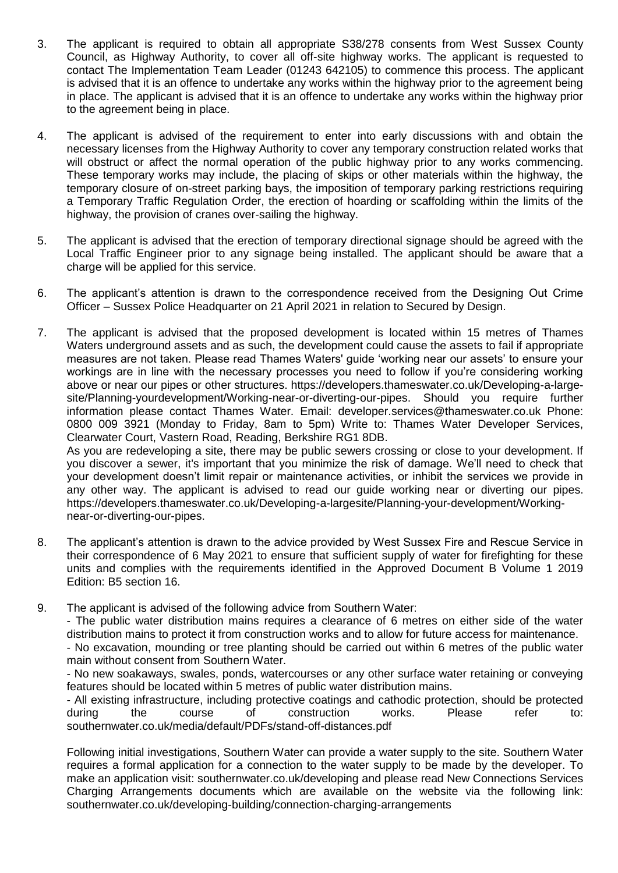- 3. The applicant is required to obtain all appropriate S38/278 consents from West Sussex County Council, as Highway Authority, to cover all off-site highway works. The applicant is requested to contact The Implementation Team Leader (01243 642105) to commence this process. The applicant is advised that it is an offence to undertake any works within the highway prior to the agreement being in place. The applicant is advised that it is an offence to undertake any works within the highway prior to the agreement being in place.
- 4. The applicant is advised of the requirement to enter into early discussions with and obtain the necessary licenses from the Highway Authority to cover any temporary construction related works that will obstruct or affect the normal operation of the public highway prior to any works commencing. These temporary works may include, the placing of skips or other materials within the highway, the temporary closure of on-street parking bays, the imposition of temporary parking restrictions requiring a Temporary Traffic Regulation Order, the erection of hoarding or scaffolding within the limits of the highway, the provision of cranes over-sailing the highway.
- 5. The applicant is advised that the erection of temporary directional signage should be agreed with the Local Traffic Engineer prior to any signage being installed. The applicant should be aware that a charge will be applied for this service.
- 6. The applicant's attention is drawn to the correspondence received from the Designing Out Crime Officer – Sussex Police Headquarter on 21 April 2021 in relation to Secured by Design.
- 7. The applicant is advised that the proposed development is located within 15 metres of Thames Waters underground assets and as such, the development could cause the assets to fail if appropriate measures are not taken. Please read Thames Waters' guide 'working near our assets' to ensure your workings are in line with the necessary processes you need to follow if you're considering working above or near our pipes or other structures. https://developers.thameswater.co.uk/Developing-a-largesite/Planning-yourdevelopment/Working-near-or-diverting-our-pipes. Should you require further information please contact Thames Water. Email: developer.services@thameswater.co.uk Phone: 0800 009 3921 (Monday to Friday, 8am to 5pm) Write to: Thames Water Developer Services, Clearwater Court, Vastern Road, Reading, Berkshire RG1 8DB. As you are redeveloping a site, there may be public sewers crossing or close to your development. If

you discover a sewer, it's important that you minimize the risk of damage. We'll need to check that your development doesn't limit repair or maintenance activities, or inhibit the services we provide in any other way. The applicant is advised to read our guide working near or diverting our pipes. https://developers.thameswater.co.uk/Developing-a-largesite/Planning-your-development/Workingnear-or-diverting-our-pipes.

- 8. The applicant's attention is drawn to the advice provided by West Sussex Fire and Rescue Service in their correspondence of 6 May 2021 to ensure that sufficient supply of water for firefighting for these units and complies with the requirements identified in the Approved Document B Volume 1 2019 Edition: B5 section 16.
- 9. The applicant is advised of the following advice from Southern Water:

- The public water distribution mains requires a clearance of 6 metres on either side of the water distribution mains to protect it from construction works and to allow for future access for maintenance.

- No excavation, mounding or tree planting should be carried out within 6 metres of the public water main without consent from Southern Water.

- No new soakaways, swales, ponds, watercourses or any other surface water retaining or conveying features should be located within 5 metres of public water distribution mains.

- All existing infrastructure, including protective coatings and cathodic protection, should be protected during the course of construction works. Please refer to: southernwater.co.uk/media/default/PDFs/stand-off-distances.pdf

Following initial investigations, Southern Water can provide a water supply to the site. Southern Water requires a formal application for a connection to the water supply to be made by the developer. To make an application visit: southernwater.co.uk/developing and please read New Connections Services Charging Arrangements documents which are available on the website via the following link: southernwater.co.uk/developing-building/connection-charging-arrangements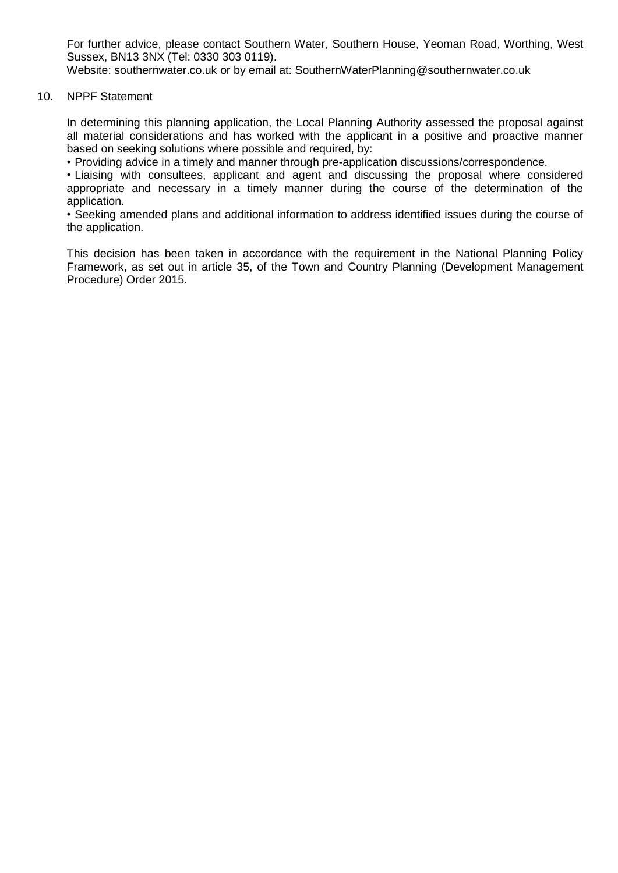For further advice, please contact Southern Water, Southern House, Yeoman Road, Worthing, West Sussex, BN13 3NX (Tel: 0330 303 0119).

Website: southernwater.co.uk or by email at: SouthernWaterPlanning@southernwater.co.uk

#### 10. NPPF Statement

In determining this planning application, the Local Planning Authority assessed the proposal against all material considerations and has worked with the applicant in a positive and proactive manner based on seeking solutions where possible and required, by:

• Providing advice in a timely and manner through pre-application discussions/correspondence.

• Liaising with consultees, applicant and agent and discussing the proposal where considered appropriate and necessary in a timely manner during the course of the determination of the application.

• Seeking amended plans and additional information to address identified issues during the course of the application.

This decision has been taken in accordance with the requirement in the National Planning Policy Framework, as set out in article 35, of the Town and Country Planning (Development Management Procedure) Order 2015.